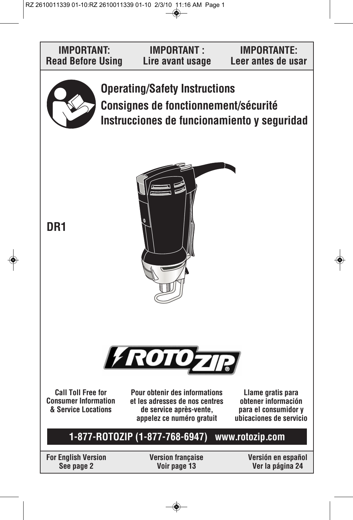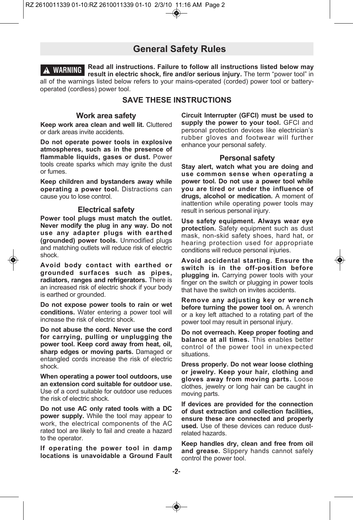# **General Safety Rules**

**Read all instructions. Failure to follow all instructions listed below may result in electric shock, fire and/or serious injury.** The term "power tool" in all of the warnings listed below refers to your mains-operated (corded) power tool or batteryoperated (cordless) power tool. **! WARNING**

# **SAVE THESE INSTRUCTIONS**

#### **Work area safety**

**Keep work area clean and well lit.** Cluttered or dark areas invite accidents.

**Do not operate power tools in explosive atmospheres, such as in the presence of flammable liquids, gases or dust.** Power tools create sparks which may ignite the dust or fumes.

**Keep children and bystanders away while operating a power tool.** Distractions can cause you to lose control.

#### **Electrical safety**

**Power tool plugs must match the outlet. Never modify the plug in any way. Do not use any adapter plugs with earthed (grounded) power tools.** Unmodified plugs and matching outlets will reduce risk of electric shock.

**Avoid body contact with earthed or grounded surfaces such as pipes, radiators, ranges and refrigerators.** There is an increased risk of electric shock if your body is earthed or grounded.

**Do not expose power tools to rain or wet conditions.** Water entering a power tool will increase the risk of electric shock.

**Do not abuse the cord. Never use the cord for carrying, pulling or unplugging the power tool. Keep cord away from heat, oil, sharp edges or moving parts.** Damaged or entangled cords increase the risk of electric shock.

**When operating a power tool outdoors, use an extension cord suitable for outdoor use.** Use of a cord suitable for outdoor use reduces the risk of electric shock.

**Do not use AC only rated tools with a DC power supply.** While the tool may appear to work, the electrical components of the AC rated tool are likely to fail and create a hazard to the operator.

**If operating the power tool in damp locations is unavoidable a Ground Fault** **Circuit Interrupter (GFCI) must be used to supply the power to your tool.** GFCI and personal protection devices like electrician's rubber gloves and footwear will further enhance your personal safety.

### **Personal safety**

**Stay alert, watch what you are doing and use common sense when operating a power tool. Do not use a power tool while you are tired or under the influence of drugs, alcohol or medication.** A moment of inattention while operating power tools may result in serious personal injury.

**Use safety equipment. Always wear eye protection.** Safety equipment such as dust mask, non-skid safety shoes, hard hat, or hearing protection used for appropriate conditions will reduce personal injuries.

**Avoid accidental starting. Ensure the switch is in the off-position before plugging in.** Carrying power tools with your finger on the switch or plugging in power tools that have the switch on invites accidents.

**Remove any adjusting key or wrench before turning the power tool on.** A wrench or a key left attached to a rotating part of the power tool may result in personal injury.

**Do not overreach. Keep proper footing and balance at all times.** This enables better control of the power tool in unexpected situations.

**Dress properly. Do not wear loose clothing or jewelry. Keep your hair, clothing and gloves away from moving parts.** Loose clothes, jewelry or long hair can be caught in moving parts.

**If devices are provided for the connection of dust extraction and collection facilities, ensure these are connected and properly used.** Use of these devices can reduce dustrelated hazards.

**Keep handles dry, clean and free from oil and grease.** Slippery hands cannot safely control the power tool.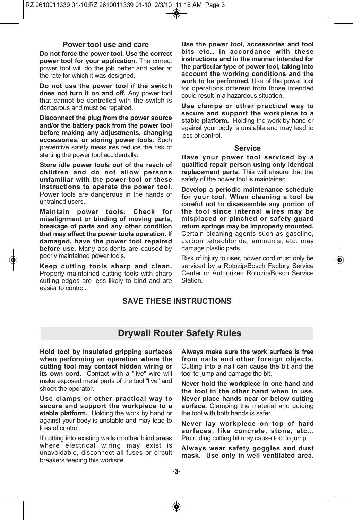## **Power tool use and care**

**Do not force the power tool. Use the correct power tool for your application.** The correct power tool will do the job better and safer at the rate for which it was designed.

**Do not use the power tool if the switch does not turn it on and off.** Any power tool that cannot be controlled with the switch is dangerous and must be repaired.

**Disconnect the plug from the power source and/or the battery pack from the power tool before making any adjustments, changing accessories, or storing power tools.** Such preventive safety measures reduce the risk of starting the power tool accidentally.

**Store idle power tools out of the reach of children and do not allow persons unfamiliar with the power tool or these instructions to operate the power tool.** Power tools are dangerous in the hands of untrained users.

**Maintain power tools. Check for misalignment or binding of moving parts, breakage of parts and any other condition that may affect the power tools operation. If damaged, have the power tool repaired before use.** Many accidents are caused by poorly maintained power tools.

**Keep cutting tools sharp and clean.** Properly maintained cutting tools with sharp cutting edges are less likely to bind and are easier to control.

**Use the power tool, accessories and tool bits etc., in accordance with these instructions and in the manner intended for the particular type of power tool, taking into account the working conditions and the work to be performed.** Use of the power tool for operations different from those intended could result in a hazardous situation.

**Use clamps or other practical way to secure and support the workpiece to a stable platform.** Holding the work by hand or against your body is unstable and may lead to loss of control.

# **Service**

**Have your power tool serviced by a qualified repair person using only identical replacement parts.** This will ensure that the safety of the power tool is maintained.

**Develop a periodic maintenance schedule for your tool. When cleaning a tool be careful not to disassemble any portion of the tool since internal wires may be misplaced or pinched or safety guard return springs may be improperly mounted.** Certain cleaning agents such as gasoline, carbon tetrachloride, ammonia, etc. may damage plastic parts.

Risk of injury to user, power cord must only be serviced by a Rotozip/Bosch Factory Service Center or Authorized Rotozip/Bosch Service Station.

# **SAVE THESE INSTRUCTIONS**

# **Drywall Router Safety Rules**

**Hold tool by insulated gripping surfaces when performing an operation where the cutting tool may contact hidden wiring or its own cord.** Contact with a "live" wire will make exposed metal parts of the tool "live" and shock the operator.

**Use clamps or other practical way to secure and support the workpiece to a stable platform.** Holding the work by hand or against your body is unstable and may lead to loss of control.

If cutting into existing walls or other blind areas where electrical wiring may exist is unavoidable, disconnect all fuses or circuit breakers feeding this worksite.

**Always make sure the work surface is free from nails and other foreign objects.** Cutting into a nail can cause the bit and the tool to jump and damage the bit.

**Never hold the workpiece in one hand and the tool in the other hand when in use. Never place hands near or below cutting surface.** Clamping the material and guiding the tool with both hands is safer.

**Never lay workpiece on top of hard surfaces, like concrete, stone, etc...** Protruding cutting bit may cause tool to jump.

**Always wear safety goggles and dust mask. Use only in well ventilated area.**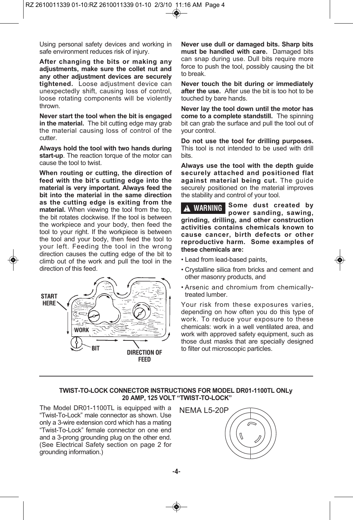Using personal safety devices and working in safe environment reduces risk of injury.

**After changing the bits or making any adjustments, make sure the collet nut and any other adjustment devices are securely tightened.** Loose adjustment device can unexpectedly shift, causing loss of control, loose rotating components will be violently thrown.

**Never start the tool when the bit is engaged in the material.** The bit cutting edge may grab the material causing loss of control of the cutter.

**Always hold the tool with two hands during start-up**. The reaction torque of the motor can cause the tool to twist.

**When routing or cutting, the direction of feed with the bit's cutting edge into the material is very important. Always feed the bit into the material in the same direction as the cutting edge is exiting from the material.** When viewing the tool from the top, the bit rotates clockwise. If the tool is between the workpiece and your body, then feed the tool to your right. If the workpiece is between the tool and your body, then feed the tool to your left. Feeding the tool in the wrong direction causes the cutting edge of the bit to climb out of the work and pull the tool in the direction of this feed.



**Never use dull or damaged bits. Sharp bits must be handled with care.** Damaged bits can snap during use. Dull bits require more force to push the tool, possibly causing the bit to break.

**Never touch the bit during or immediately after the use.** After use the bit is too hot to be touched by bare hands.

**Never lay the tool down until the motor has come to a complete standstill.** The spinning bit can grab the surface and pull the tool out of your control.

**Do not use the tool for drilling purposes.** This tool is not intended to be used with drill bits.

**Always use the tool with the depth guide securely attached and positioned flat against material being cut.** The guide securely positioned on the material improves the stability and control of your tool.

**Some dust created by power sanding, sawing, grinding, drilling, and other construction activities contains chemicals known to cause cancer, birth defects or other reproductive harm. Some examples of these chemicals are: ! WARNING**

- Lead from lead-based paints,
- Crystalline silica from bricks and cement and other masonry products, and
- Arsenic and chromium from chemicallytreated lumber.

Your risk from these exposures varies, depending on how often you do this type of work. To reduce your exposure to these chemicals: work in a well ventilated area, and work with approved safety equipment, such as those dust masks that are specially designed to filter out microscopic particles.

# **TWIST-TO-LOCK CONNECTOR INSTRUCTIONS FOR MODEL DR01-1100TL ONLy 20 AMP, 125 VOLT "TWIST-TO-LOCK"**

The Model DR01-1100TL is equipped with a "Twist-To-Lock" male connector as shown. Use only a 3-wire extension cord which has a mating "Twist-To-Lock" female connector on one end and a 3-prong grounding plug on the other end. (See Electrical Safety section on page 2 for grounding information.)

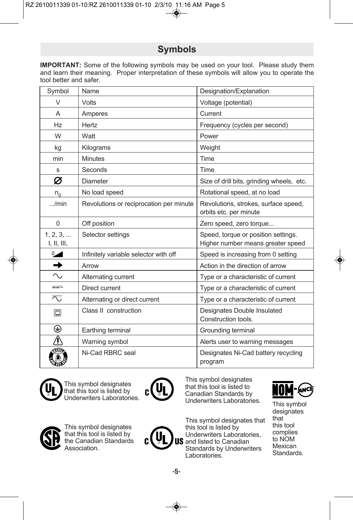# **Symbols**

**IMPORTANT:** Some of the following symbols may be used on your tool. Please study them and learn their meaning. Proper interpretation of these symbols will allow you to operate the tool better and safer.

| Symbol                  | Name                                    | Designation/Explanation                                                  |
|-------------------------|-----------------------------------------|--------------------------------------------------------------------------|
| $\vee$                  | Volts                                   | Voltage (potential)                                                      |
| A                       | Amperes                                 | Current                                                                  |
| Hz                      | Hertz                                   | Frequency (cycles per second)                                            |
| W                       | Watt                                    | Power                                                                    |
| kg                      | Kilograms                               | Weight                                                                   |
| min                     | <b>Minutes</b>                          | Time                                                                     |
| S                       | Seconds                                 | Time                                                                     |
| Ø                       | Diameter                                | Size of drill bits, grinding wheels, etc.                                |
| $n_{0}$                 | No load speed                           | Rotational speed, at no load                                             |
| $$ /min                 | Revolutions or reciprocation per minute | Revolutions, strokes, surface speed,<br>orbits etc. per minute           |
| $\overline{0}$          | Off position                            | Zero speed, zero torque                                                  |
| 1, 2, 3,<br>I, II, III, | Selector settings                       | Speed, torque or position settings.<br>Higher number means greater speed |
| $\sim$                  | Infinitely variable selector with off   | Speed is increasing from 0 setting                                       |
| $\rightarrow$           | Arrow                                   | Action in the direction of arrow                                         |
| $\sim$                  | Alternating current                     | Type or a characteristic of current                                      |
| $=$                     | Direct current                          | Type or a characteristic of current                                      |
| ⊼                       | Alternating or direct current           | Type or a characteristic of current                                      |
| 冋                       | Class II construction                   | Designates Double Insulated<br>Construction tools.                       |
| ⊕                       | Earthing terminal                       | Grounding terminal                                                       |
| <u>∱</u>                | Warning symbol                          | Alerts user to warning messages                                          |
|                         | Ni-Cad RBRC seal                        | Designates Ni-Cad battery recycling<br>program                           |



This symbol designates that this tool is listed by Underwriters Laboratories.



This symbol designates that this tool is listed to Canadian Standards by Underwriters Laboratories. This symbol







This symbol designates that this tool is listed by the Canadian Standards Association.

**-5-**





designates that this tool complies to NOM Mexican Standards.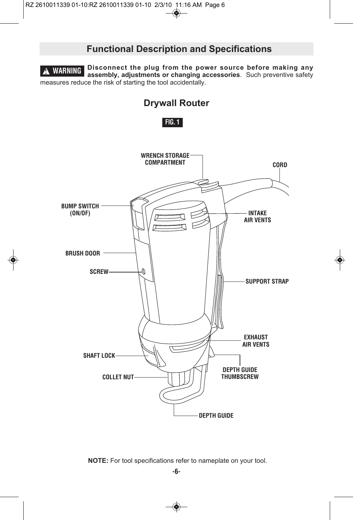# **Functional Description and Specifications**

**Disconnect the plug from the power source before making any assembly, adjustments or changing accessories**. Such preventive safety measures reduce the risk of starting the tool accidentally. **! WARNING**







**NOTE:** For tool specifications refer to nameplate on your tool.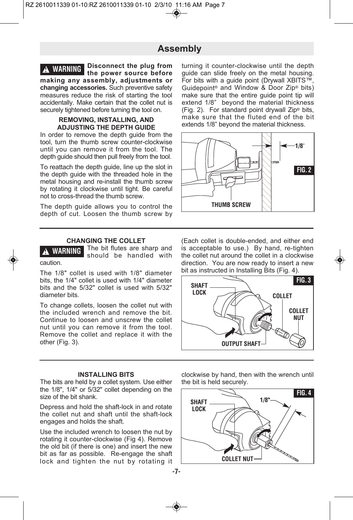# **Assembly**

**Disconnect the plug from the power source before making any assembly, adjustments or changing accessories.** Such preventive safety measures reduce the risk of starting the tool accidentally. Make certain that the collet nut is securely tightened before turning the tool on. **! WARNING**

# **REMOVING, INSTALLING, AND ADJUSTING THE DEPTH GUIDE**

In order to remove the depth guide from the tool, turn the thumb screw counter-clockwise until you can remove it from the tool. The depth guide should then pull freely from the tool.

To reattach the depth guide, line up the slot in the depth guide with the threaded hole in the metal housing and re-install the thumb screw by rotating it clockwise until tight. Be careful not to cross-thread the thumb screw.

The depth guide allows you to control the depth of cut. Loosen the thumb screw by

# **CHANGING THE COLLET**

The bit flutes are sharp and should be handled with caution. **! WARNING**

The 1/8" collet is used with 1/8" diameter bits, the 1/4" collet is used with 1/4" diameter bits and the 5/32" collet is used with 5/32" diameter bits.

To change collets, loosen the collet nut with the included wrench and remove the bit. Continue to loosen and unscrew the collet nut until you can remove it from the tool. Remove the collet and replace it with the other (Fig. 3).

**INSTALLING BITS**

The bits are held by a collet system. Use either the 1/8", 1/4" or 5/32" collet depending on the size of the bit shank.

Depress and hold the shaft-lock in and rotate the collet nut and shaft until the shaft-lock engages and holds the shaft.

Use the included wrench to loosen the nut by rotating it counter-clockwise (Fig 4). Remove the old bit (if there is one) and insert the new bit as far as possible. Re-engage the shaft lock and tighten the nut by rotating it

turning it counter-clockwise until the depth guide can slide freely on the metal housing. For bits with a guide point (Drywall XBITS™, Guidepoint® and Window & Door Zip® bits) make sure that the entire guide point tip will extend 1/8" beyond the material thickness (Fig. 2). For standard point drywall Zip® bits, make sure that the fluted end of the bit extends 1/8" beyond the material thickness.



(Each collet is double-ended, and either end is acceptable to use.) By hand, re-tighten the collet nut around the collet in a clockwise direction. You are now ready to insert a new bit as instructed in Installing Bits (Fig. 4).



clockwise by hand, then with the wrench until the bit is held securely.

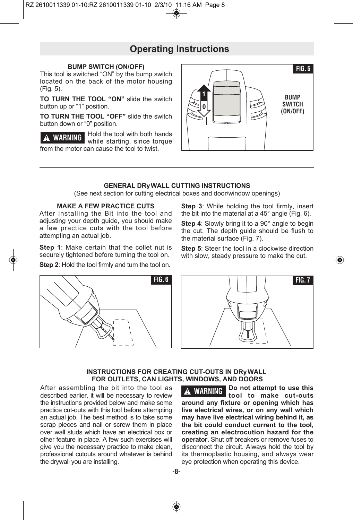# **Operating Instructions**

## **BUMP SWITCH (ON/OFF)**

This tool is switched "ON" by the bump switch located on the back of the motor housing (Fig. 5).

**TO TURN THE TOOL "ON"** slide the switch button up or "1" position.

**TO TURN THE TOOL "OFF"** slide the switch button down or "0" position.

Hold the tool with both hands while starting, since torque from the motor can cause the tool to twist. **! WARNING**



## **GENERAL DRyWALL CUTTING INSTRUCTIONS**

(See next section for cutting electrical boxes and door/window openings)

## **MAKE A FEW PRACTICE CUTS**

After installing the Bit into the tool and adjusting your depth guide, you should make a few practice cuts with the tool before attempting an actual job.

**Step 1**: Make certain that the collet nut is securely tightened before turning the tool on.

**Step 2**: Hold the tool firmly and turn the tool on.

**Step 3**: While holding the tool firmly, insert the bit into the material at a 45° angle (Fig. 6).

**Step 4:** Slowly bring it to a 90° angle to begin the cut. The depth guide should be flush to the material surface (Fig. 7).

**Step 5**: Steer the tool in a clockwise direction with slow, steady pressure to make the cut.





# **INSTRUCTIONS FOR CREATING CUT-OUTS IN DRyWALL FOR OUTLETS, CAN LIGHTS, WINDOWS, AND DOORS**

After assembling the bit into the tool as described earlier, it will be necessary to review the instructions provided below and make some practice cut-outs with this tool before attempting an actual job. The best method is to take some scrap pieces and nail or screw them in place over wall studs which have an electrical box or other feature in place. A few such exercises will give you the necessary practice to make clean, professional cutouts around whatever is behind the drywall you are installing.

**Do not attempt to use this tool to make cut-outs around any fixture or opening which has live electrical wires, or on any wall which may have live electrical wiring behind it, as the bit could conduct current to the tool, creating an electrocution hazard for the operator.** Shut off breakers or remove fuses to disconnect the circuit. Always hold the tool by its thermoplastic housing, and always wear eye protection when operating this device. **! WARNING**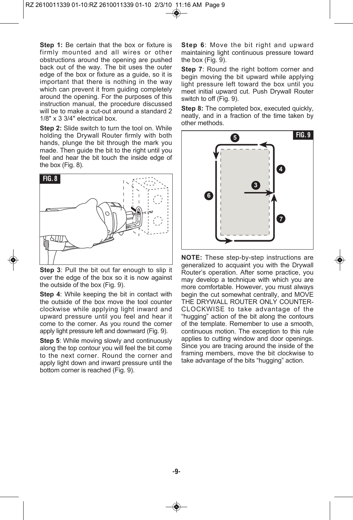**Step 1:** Be certain that the box or fixture is firmly mounted and all wires or other obstructions around the opening are pushed back out of the way. The bit uses the outer edge of the box or fixture as a guide, so it is important that there is nothing in the way which can prevent it from guiding completely around the opening. For the purposes of this instruction manual, the procedure discussed will be to make a cut-out around a standard 2 1/8" x 3 3/4" electrical box.

**Step 2:** Slide switch to turn the tool on. While holding the Drywall Router firmly with both hands, plunge the bit through the mark you made. Then guide the bit to the right until you feel and hear the bit touch the inside edge of the box (Fig. 8).



**Step 3**: Pull the bit out far enough to slip it over the edge of the box so it is now against the outside of the box (Fig. 9).

**Step 4**: While keeping the bit in contact with the outside of the box move the tool counter clockwise while applying light inward and upward pressure until you feel and hear it come to the corner. As you round the corner apply light pressure left and downward (Fig. 9).

**Step 5**: While moving slowly and continuously along the top contour you will feel the bit come to the next corner. Round the corner and apply light down and inward pressure until the bottom corner is reached (Fig. 9).

**Step 6**: Move the bit right and upward maintaining light continuous pressure toward the box (Fig. 9).

**Step 7**: Round the right bottom corner and begin moving the bit upward while applying light pressure left toward the box until you meet initial upward cut. Push Drywall Router switch to off (Fig. 9).

**Step 8:** The completed box, executed quickly, neatly, and in a fraction of the time taken by other methods.



**NOTE:** These step-by-step instructions are generalized to acquaint you with the Drywall Router's operation. After some practice, you may develop a technique with which you are more comfortable. However, you must always begin the cut somewhat centrally, and MOVE THE DRYWALL ROUTER ONLY COUNTER-CLOCKWISE to take advantage of the "hugging" action of the bit along the contours of the template. Remember to use a smooth, continuous motion. The exception to this rule applies to cutting window and door openings. Since you are tracing around the inside of the framing members, move the bit clockwise to take advantage of the bits "hugging" action.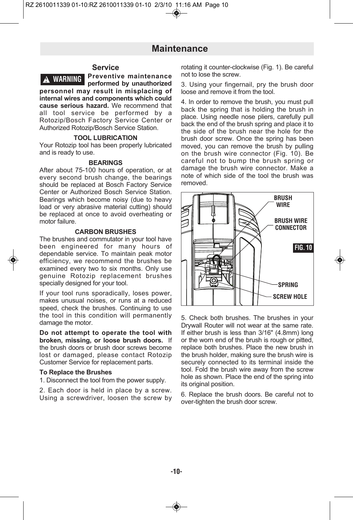# **Maintenance**

# **Service**

**Preventive maintenance performed by unauthorized per so n nel may result in misplacing of internal wires and components which could cause serious hazard.** We recommend that all tool service be performed by a Rotozip/Bosch Factory Service Center or Authorized Rotozip/Bosch Service Station. **! WARNING**

### **TOOL LUBRICATION**

Your Rotozip tool has been properly lubricated and is ready to use.

#### **BEARINGS**

After about 75-100 hours of operation, or at every second brush change, the bearings should be replaced at Bosch Factory Service Center or Authorized Bosch Service Station. Bearings which become noisy (due to heavy load or very abrasive material cutting) should be replaced at once to avoid overheating or motor failure.

## **CARBON BRUSHES**

The brushes and commutator in your tool have been engineered for many hours of dependable service. To maintain peak motor efficiency, we recommend the brushes be examined every two to six months. Only use genuine Rotozip replacement brushes specially designed for your tool.

If your tool runs sporadically, loses power, makes unusual noises, or runs at a reduced speed, check the brushes. Continuing to use the tool in this condition will permanently damage the motor.

**Do not attempt to operate the tool with broken, missing, or loose brush doors.** If the brush doors or brush door screws become lost or damaged, please contact Rotozip Customer Service for replacement parts.

## **To Replace the Brushes**

1. Disconnect the tool from the power supply.

2. Each door is held in place by a screw. Using a screwdriver, loosen the screw by rotating it counter-clockwise (Fig. 1). Be careful not to lose the screw.

3. Using your fingernail, pry the brush door loose and remove it from the tool.

4. In order to remove the brush, you must pull back the spring that is holding the brush in place. Using needle nose pliers, carefully pull back the end of the brush spring and place it to the side of the brush near the hole for the brush door screw. Once the spring has been moved, you can remove the brush by pulling on the brush wire connector (Fig. 10). Be careful not to bump the brush spring or damage the brush wire connector. Make a note of which side of the tool the brush was removed.



5. Check both brushes. The brushes in your Drywall Router will not wear at the same rate. If either brush is less than 3/16" (4.8mm) long or the worn end of the brush is rough or pitted, replace both brushes. Place the new brush in the brush holder, making sure the brush wire is securely connected to its terminal inside the tool. Fold the brush wire away from the screw hole as shown. Place the end of the spring into its original position.

6. Replace the brush doors. Be careful not to over-tighten the brush door screw.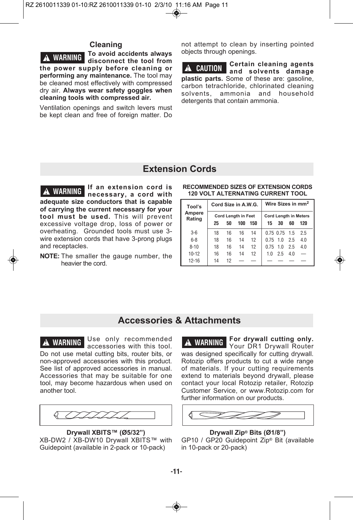# **Cleaning**

**To avoid accidents always dis connect the tool from the power supply before cleaning or performing any maintenance.** The tool may be cleaned most effectively with compressed dry air. Always wear safety goggles when **cleaning tools with compressed air. ! WARNING**

Ventilation openings and switch levers must be kept clean and free of foreign matter. Do not attempt to clean by inserting pointed objects through openings.

**Certain cleaning agents and sol vents damage plastic parts.** Some of these are: gasoline, carbon tetrachloride, chlorinated cleaning solvents, ammonia and household detergents that contain ammonia. **! CAUTION**

# **Extension Cords**

**If an extension cord is necessary, a cord with adequate size conductors that is capable of carrying the current necessary for your tool must be used.** This will prevent excessive voltage drop, loss of power or overheating. Grounded tools must use 3 wire extension cords that have 3-prong plugs and receptacles. **! WARNING**

**NOTE:** The smaller the gauge number, the heavier the cord.

#### **RECOMMENDED SIZES OF EXTENSION CORDS 120 VOLT ALTERNATING CURRENT TOOL**

| Tool's<br>Ampere<br>Rating | Cord Size in A.W.G. |    |                                   |     | Wire Sizes in mm <sup>2</sup> |                   |     |                                     |
|----------------------------|---------------------|----|-----------------------------------|-----|-------------------------------|-------------------|-----|-------------------------------------|
|                            | 25                  | 50 | <b>Cord Length in Feet</b><br>100 | 150 | 15                            | 30                | 60  | <b>Cord Length in Meters</b><br>120 |
| $3-6$                      | 18                  | 16 | 16                                | 14  |                               | $0.75$ $0.75$ 1.5 |     | 2.5                                 |
| $6 - 8$                    | 18                  | 16 | 14                                | 12  |                               | $0.75$ 1.0 2.5    |     | 4.0                                 |
| $8 - 10$                   | 18                  | 16 | 14                                | 12  | $0.75$ 1.0                    |                   | 25  | 4.0                                 |
| $10 - 12$                  | 16                  | 16 | 14                                | 12  | 1.0                           | 2.5               | 4.0 |                                     |
| $12 - 16$                  | 14                  | 12 |                                   |     |                               |                   |     |                                     |

# **Accessories & Attachments**

Use only recommended accessories with this tool. Do not use metal cutting bits, router bits, or non-approved accessories with this product. See list of approved accessories in manual. Accessories that may be suitable for one tool, may become hazardous when used on another tool. **! WARNING**



**Drywall XBITS™ (Ø5/32")** XB-DW2 / XB-DW10 Drywall XBITS™ with Guidepoint (available in 2-pack or 10-pack)

**For drywall cutting only.** Your DR1 Drywall Router was designed specifically for cutting drywall. Rotozip offers products to cut a wide range of materials. If your cutting requirements extend to materials beyond drywall, please contact your local Rotozip retailer, Rotozip Customer Service, or www.Rotozip.com for further information on our products. **! WARNING**



#### **Drywall Zip® Bits (Ø1/8")**

GP10 / GP20 Guidepoint Zip® Bit (available in 10-pack or 20-pack)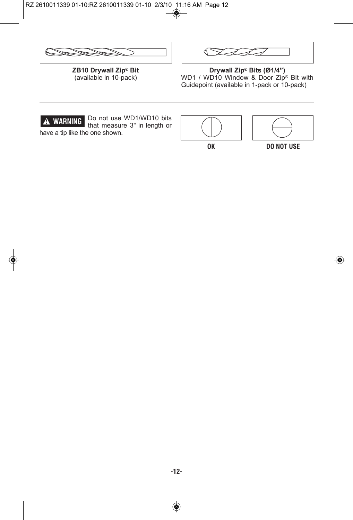



**ZB10 Drywall Zip® Bit** (available in 10-pack)

**Drywall Zip® Bits (Ø1/4")** WD1 / WD10 Window & Door Zip<sup>®</sup> Bit with Guidepoint (available in 1-pack or 10-pack)



Do not use WD1/WD10 bits that measure 3" in length or have a tip like the one shown.





**OK DO NOT USE**

 $\textcircled{\textbf{*}}$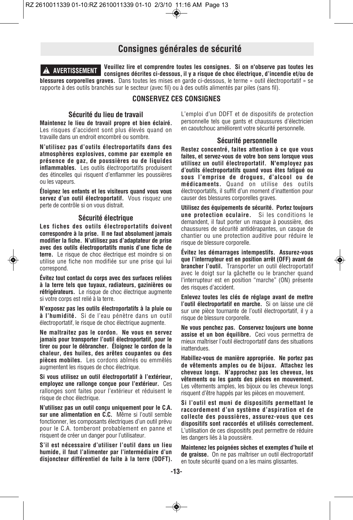# **Consignes générales de sécurité**

**Veuillez lire et comprendre toutes les consignes. Si on n'observe pas toutes les consignes décrites ci-dessous, il y a risque de choc électrique, d'incendie et/ou de blessures corporelles graves.** Dans toutes les mises en garde ci-dessous, le terme « outil électroportatif » se rapporte à des outils branchés sur le secteur (avec fil) ou à des outils alimentés par piles (sans fil). **! AVERTISSEMENT**

# **CONSERVEZ CES CONSIGNES**

## **Sécurité du lieu de travail**

**Maintenez le lieu de travail propre et bien éclairé.** Les risques d'accident sont plus élevés quand on travaille dans un endroit encombré ou sombre.

**N'utilisez pas d'outils électroportatifs dans des atmosphères explosives, comme par exemple en présence de gaz, de poussières ou de liquides inflammables.** Les outils électroportatifs produisent des étincelles qui risquent d'enflammer les poussières ou les vapeurs.

**Éloignez les enfants et les visiteurs quand vous vous servez d'un outil électroportatif.** Vous risquez une perte de contrôle si on vous distrait.

## **Sécurité électrique**

**Les fiches des outils électroportatifs doivent correspondre à la prise. Il ne faut absolument jamais modifier la fiche. N'utilisez pas d'adaptateur de prise avec des outils électroportatifs munis d'une fiche de terre.** Le risque de choc électrique est moindre si on utilise une fiche non modifiée sur une prise qui lui correspond.

**Évitez tout contact du corps avec des surfaces reliées à la terre tels que tuyaux, radiateurs, gazinières ou réfrigérateurs.** Le risque de choc électrique augmente si votre corps est relié à la terre.

**N'exposez pas les outils électroportatifs à la pluie ou à l'humidité.** Si de l'eau pénètre dans un outil électroportatif, le risque de choc électrique augmente.

**Ne maltraitez pas le cordon. Ne vous en servez jamais pour transporter l'outil électroportatif, pour le tirer ou pour le débrancher. Éloignez le cordon de la chaleur, des huiles, des arêtes coupantes ou des pièces mobiles.** Les cordons abîmés ou emmêlés augmentent les risques de choc électrique.

**Si vous utilisez un outil électroportatif à l'extérieur, employez une rallonge conçue pour l'extérieur.** Ces rallonges sont faites pour l'extérieur et réduisent le risque de choc électrique.

**N'utilisez pas un outil conçu uniquement pour le C.A. sur une alimentation en C.C.** Même si l'outil semble fonctionner, les composants électriques d'un outil prévu pour le C.A. tomberont probablement en panne et risquent de créer un danger pour l'utilisateur.

**S'il est nécessaire d'utiliser l'outil dans un lieu humide, il faut l'alimenter par l'intermédiaire d'un disjoncteur différentiel de fuite à la terre (DDFT).**

L'emploi d'un DDFT et de dispositifs de protection personnelle tels que gants et chaussures d'électricien en caoutchouc améliorent votre sécurité personnelle.

#### **Sécurité personnelle**

**Restez concentré, faites attention à ce que vous faites, et servez-vous de votre bon sens lorsque vous utilisez un outil électroportatif. N'employez pas d'outils électroportatifs quand vous êtes fatigué ou sous l'emprise de drogues, d'alcool ou de médicaments.** Quand on utilise des outils électroportatifs, il suffit d'un moment d'inattention pour causer des blessures corporelles graves.

**Utilisez des équipements de sécurité. Portez toujours une protection oculaire.** Si les conditions le demandent, il faut porter un masque à poussière, des chaussures de sécurité antidérapantes, un casque de chantier ou une protection auditive pour réduire le risque de blessure corporelle.

**Évitez les démarrages intempestifs. Assurez-vous que l'interrupteur est en position arrêt (OFF) avant de brancher l'outil.** Transporter un outil électroportatif avec le doigt sur la gâchette ou le brancher quand l'interrupteur est en position "marche" (ON) présente des risques d'accident.

**Enlevez toutes les clés de réglage avant de mettre l'outil électroportatif en marche.** Si on laisse une clé sur une pièce tournante de l'outil électroportatif, il y a risque de blessure corporelle.

**Ne vous penchez pas. Conservez toujours une bonne assise et un bon équilibre.** Ceci vous permettra de mieux maîtriser l'outil électroportatif dans des situations inattendues.

**Habillez-vous de manière appropriée. Ne portez pas de vêtements amples ou de bijoux. Attachez les cheveux longs. N'approchez pas les cheveux, les vêtements ou les gants des pièces en mouvement.** Les vêtements amples, les bijoux ou les cheveux longs risquent d'être happés par les pièces en mouvement.

**Si l'outil est muni de dispositifs permettant le raccordement d'un système d'aspiration et de collecte des poussières, assurez-vous que ces dispositifs sont raccordés et utilisés correctement.** L'utilisation de ces dispositifs peut permettre de réduire les dangers liés à la poussière.

**Maintenez les poignées sèches et exemptes d'huile et de graisse.** On ne pas maîtriser un outil électroportatif en toute sécurité quand on a les mains glissantes.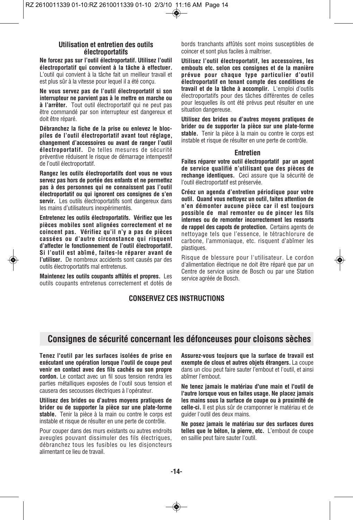# **Utilisation et entretien des outils électroportatifs**

**Ne forcez pas sur l'outil électroportatif. Utilisez l'outil électroportatif qui convient à la tâche à effectuer.** L'outil qui convient à la tâche fait un meilleur travail et est plus sûr à la vitesse pour lequel il a été conçu.

**Ne vous servez pas de l'outil électroportatif si son interrupteur ne parvient pas à le mettre en marche ou à l'arrêter.** Tout outil électroportatif qui ne peut pas être commandé par son interrupteur est dangereux et doit être réparé.

**Débranchez la fiche de la prise ou enlevez le blocpiles de l'outil électroportatif avant tout réglage, changement d'accessoires ou avant de ranger l'outil électroportatif.** De telles mesures de sécurité préventive réduisent le risque de démarrage intempestif de l'outil électroportatif.

**Rangez les outils électroportatifs dont vous ne vous servez pas hors de portée des enfants et ne permettez pas à des personnes qui ne connaissent pas l'outil électroportatif ou qui ignorent ces consignes de s'en servir.** Les outils électroportatifs sont dangereux dans les mains d'utilisateurs inexpérimentés.

**Entretenez les outils électroportatifs. Vérifiez que les pièces mobiles sont alignées correctement et ne coincent pas. Vérifiez qu'il n'y a pas de pièces cassées ou d'autre circonstance qui risquent d'affecter le fonctionnement de l'outil électroportatif. Si l'outil est abîmé, faites-le réparer avant de l'utiliser.** De nombreux accidents sont causés par des outils électroportatifs mal entretenus.

**Maintenez les outils coupants affûtés et propres.** Les outils coupants entretenus correctement et dotés de bords tranchants affûtés sont moins susceptibles de coincer et sont plus faciles à maîtriser.

**Utilisez l'outil électroportatif, les accessoires, les embouts etc. selon ces consignes et de la manière prévue pour chaque type particulier d'outil électroportatif en tenant compte des conditions de travail et de la tâche à accomplir.** L'emploi d'outils électroportatifs pour des tâches différentes de celles pour lesquelles ils ont été prévus peut résulter en une situation dangereuse.

**Utilisez des brides ou d'autres moyens pratiques de brider ou de supporter la pièce sur une plate-forme stable.** Tenir la pièce à la main ou contre le corps est instable et risque de résulter en une perte de contrôle.

#### **Entretien**

**Faites réparer votre outil électroportatif par un agent de service qualifié n'utilisant que des pièces de rechange identiques.** Ceci assure que la sécurité de l'outil électroportatif est préservée.

**Créez un agenda d'entretien périodique pour votre outil. Quand vous nettoyez un outil, faites attention de n'en démonter aucune pièce car il est toujours possible de mal remonter ou de pincer les fils internes ou de remonter incorrectement les ressorts de rappel des capots de protection.** Certains agents de nettoyage tels que l'essence, le tétrachlorure de carbone, l'ammoniaque, etc. risquent d'abîmer les plastiques.

Risque de blessure pour l'utilisateur. Le cordon d'alimentation électrique ne doit être réparé que par un Centre de service usine de Bosch ou par une Station service agréée de Bosch.

# **CONSERVEZ CES INSTRUCTIONS**

# **Consignes de sécurité concernant les défonceuses pour cloisons sèches**

**Tenez l'outil par les surfaces isolées de prise en exécutant une opération lorsque l'outil de coupe peut venir en contact avec des fils cachés ou son propre cordon.** Le contact avec un fil sous tension rendra les parties métalliques exposées de l'outil sous tension et causera des secousses électriques à l'opérateur.

**Utilisez des brides ou d'autres moyens pratiques de brider ou de supporter la pièce sur une plate-forme stable.** Tenir la pièce à la main ou contre le corps est instable et risque de résulter en une perte de contrôle.

Pour couper dans des murs existants ou autres endroits aveugles pouvant dissimuler des fils électriques, débranchez tous les fusibles ou les disjoncteurs alimentant ce lieu de travail.

**Assurez-vous toujours que la surface de travail est exempte de clous et autres objets étrangers.** La coupe dans un clou peut faire sauter l'embout et l'outil, et ainsi abîmer l'embout.

**Ne tenez jamais le matériau d'une main et l'outil de l'autre lorsque vous en faites usage. Ne placez jamais les mains sous la surface de coupe ou à proximité de celle-ci.** Il est plus sûr de cramponner le matériau et de guider l'outil des deux mains.

**Ne posez jamais le matériau sur des surfaces dures telles que le béton, la pierre, etc.** L'embout de coupe en saillie peut faire sauter l'outil.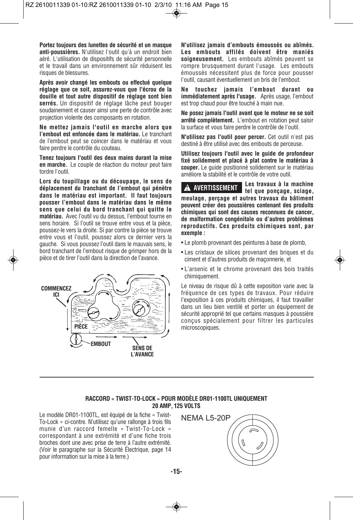**Portez toujours des lunettes de sécurité et un masque anti-poussières.** N'utilisez l'outil qu'à un endroit bien aéré. L'utilisation de dispositifs de sécurité personnelle et le travail dans un environnement sûr réduisent les risques de blessures.

**Après avoir changé les embouts ou effectué quelque réglage que ce soit, assurez-vous que l'écrou de la douille et tout autre dispositif de réglage sont bien serrés.** Un dispositif de réglage lâche peut bouger soudainement et causer ainsi une perte de contrôle avec projection violente des composants en rotation.

**Ne mettez jamais l'outil en marche alors que l'embout est enfoncée dans le matériau.** Le tranchant de l'embout peut se coincer dans le matériau et vous faire perdre le contrôle du couteau.

**Tenez toujours l'outil des deux mains durant la mise en marche.** Le couple de réaction du moteur peut faire tordre l'outil.

**Lors du toupillage ou du découpage, le sens de déplacement du tranchant de l'embout qui pénètre dans le matériau est important. Il faut toujours pousser l'embout dans le matériau dans le même sens que celui du bord tranchant qui quitte le matériau.** Avec l'outil vu du dessus, l'embout tourne en sens horaire. Si l'outil se trouve entre vous et la pièce, poussez-le vers la droite. Si par contre la pièce se trouve entre vous et l'outil, poussez alors ce dernier vers la gauche. Si vous poussez l'outil dans le mauvais sens, le bord tranchant de l'embout risque de grimper hors de la pièce et de tirer l'outil dans la direction de l'avance.



**N'utilisez jamais d'embouts émoussés ou abîmés. Les embouts affilés doivent être maniés soigneusement.** Les embouts abîmés peuvent se rompre brusquement durant l'usage. Les embouts émoussés nécessitent plus de force pour pousser l'outil, causant éventuellement un bris de l'embout.

**Ne touchez jamais l'embout durant ou immédiatement après l'usage.** Après usage, l'embout est trop chaud pour être touché à main nue.

**Ne posez jamais l'outil avant que le moteur ne se soit arrêté complètement.** L'embout en rotation peut saisir la surface et vous faire perdre le contrôle de l'outil.

**N'utilisez pas l'outil pour percer.** Cet outil n'est pas destiné à être utilisé avec des embouts de perceuse.

**Utilisez toujours l'outil avec le guide de profondeur fixé solidement et placé à plat contre le matériau à couper.** Le guide positionné solidement sur le matériau améliore la stabilité et le contrôle de votre outil.

**Les travaux à la machine tel que ponçage, sciage, meulage, perçage et autres travaux du bâtiment peuvent créer des poussières contenant des produits chimiques qui sont des causes reconnues de cancer, de malformation congénitale ou d'autres problèmes reproductifs. Ces produits chimiques sont, par exemple : ! AVERTISSEMENT**

- Le plomb provenant des peintures à base de plomb,
- Les cristaux de silices provenant des briques et du ciment et d'autres produits de maçonnerie, et
- L'arsenic et le chrome provenant des bois traités chimiquement.

Le niveau de risque dû à cette exposition varie avec la fréquence de ces types de travaux. Pour réduire l'exposition à ces produits chimiques, il faut travailler dans un lieu bien ventilé et porter un équipement de sécurité approprié tel que certains masques à poussière conçus spécialement pour filtrer les particules microscopiques.

## **RACCORD « TWIST-TO-LOCK » POUR MODÈLE DR01-1100TL UNIQUEMENT 20 AMP, 125 VOLTS**

Le modèle DR01-1100TL, est équipé de la fiche « Twist-To-Lock » ci-contre. N'utilisez qu'une rallonge à trois fils munie d'un raccord femelle « Twist-To-Lock » correspondant à une extrémité et d'une fiche trois broches dont une avec prise de terre à l'autre extrémité. (Voir le paragraphe sur la Sécurité Électrique, page 14 pour information sur la mise à la terre.)



**-15-**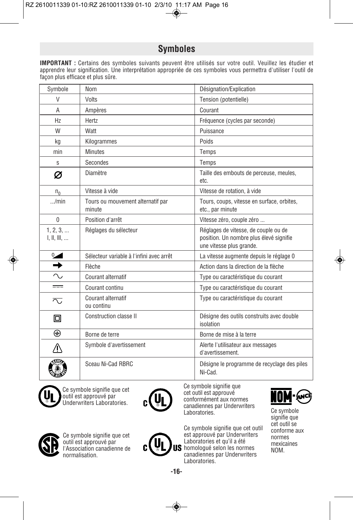# **Symboles**

**IMPORTANT :** Certains des symboles suivants peuvent être utilisés sur votre outil. Veuillez les étudier et apprendre leur signification. Une interprétation appropriée de ces symboles vous permettra d'utiliser l'outil de façon plus efficace et plus sûre.

| Symbole                 | Nom                                         | Désignation/Explication                                                                                     |
|-------------------------|---------------------------------------------|-------------------------------------------------------------------------------------------------------------|
| V                       | Volts                                       | Tension (potentielle)                                                                                       |
| A                       | Ampères                                     | Courant                                                                                                     |
| Hz                      | Hertz                                       | Fréquence (cycles par seconde)                                                                              |
| W                       | Watt                                        | Puissance                                                                                                   |
| kg                      | Kilogrammes                                 | Poids                                                                                                       |
| min                     | <b>Minutes</b>                              | Temps                                                                                                       |
| S                       | Secondes                                    | Temps                                                                                                       |
| Ø                       | Diamètre                                    | Taille des embouts de perceuse, meules,<br>etc.                                                             |
| $n_{0}$                 | Vitesse à vide                              | Vitesse de rotation, à vide                                                                                 |
| /min                    | Tours ou mouvement alternatif par<br>minute | Tours, coups, vitesse en surface, orbites,<br>etc., par minute                                              |
| $\mathbf{0}$            | Position d'arrêt                            | Vitesse zéro, couple zéro                                                                                   |
| 1, 2, 3,<br>I, II, III, | Réglages du sélecteur                       | Réglages de vitesse, de couple ou de<br>position. Un nombre plus élevé signifie<br>une vitesse plus grande. |
| $\sim$                  | Sélecteur variable à l'infini avec arrêt    | La vitesse augmente depuis le réglage 0                                                                     |
| $\rightarrow$           | Flèche                                      | Action dans la direction de la flèche                                                                       |
| $\sim$                  | Courant alternatif                          | Type ou caractéristique du courant                                                                          |
| $=$                     | Courant continu                             | Type ou caractéristique du courant                                                                          |
| ᅐ                       | Courant alternatif<br>ou continu            | Type ou caractéristique du courant                                                                          |
| $\Box$                  | Construction classe II                      | Désigne des outils construits avec double<br>isolation                                                      |
| ⊕                       | Borne de terre                              | Borne de mise à la terre                                                                                    |
| 4)                      | Symbole d'avertissement                     | Alerte l'utilisateur aux messages<br>d'avertissement.                                                       |
|                         | Sceau Ni-Cad RBRC                           | Désigne le programme de recyclage des piles<br>Ni-Cad.                                                      |



Ce symbole signifie que cet outil est approuvé par Underwriters Laboratories.



Ce symbole signifie que cet outil est approuvé conformément aux normes canadiennes par Underwriters Laboratories. Ce symbole



Ce symbole signifie que cet outil est approuvé par l'Association canadienne de normalisation.

Ce symbole signifie que cet outil est approuvé par Underwriters Laboratories et qu'il a été US homologué selon les normes canadiennes par Underwriters Laboratories.



signifie que cet outil se conforme aux normes mexicaines NOM.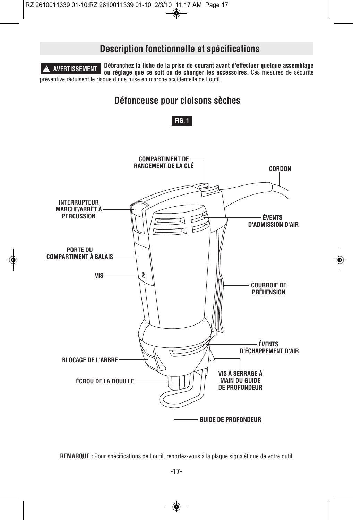# **Description fonctionnelle et spécifications**

**Débranchez la fiche de la prise de courant avant d'effectuer quelque assemblage ou réglage que ce soit ou de changer les accessoires.** Ces mesures de sécurité préventive réduisent le risque d'une mise en marche accidentelle de l'outil. **! AVERTISSEMENT**

# **Défonceuse pour cloisons sèches**





**REMARQUE :** Pour spécifications de l'outil, reportez-vous à la plaque signalétique de votre outil.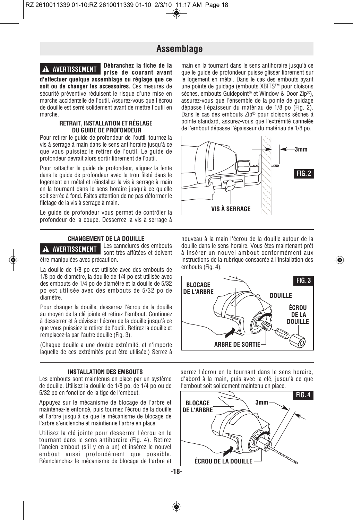**Débranchez la fiche de la**

# **Assemblage**

# **! AVERTISSEMENT**

**prise de courant avant d'effectuer quelque assemblage ou réglage que ce soit ou de changer les accessoires.** Ces mesures de sécurité préventive réduisent le risque d'une mise en marche accidentelle de l'outil. Assurez-vous que l'écrou de douille est serré solidement avant de mettre l'outil en marche.

## **RETRAIT, INSTALLATION ET RÉGLAGE DU GUIDE DE PROFONDEUR**

Pour retirer le guide de profondeur de l'outil, tournez la vis à serrage à main dans le sens antihoraire jusqu'à ce que vous puissiez le retirer de l'outil. Le guide de profondeur devrait alors sortir librement de l'outil.

Pour rattacher le guide de profondeur, alignez la fente dans le guide de profondeur avec le trou fileté dans le logement en métal et réinstallez la vis à serrage à main en la tournant dans le sens horaire jusqu'à ce qu'elle soit serrée à fond. Faites attention de ne pas déformer le filetage de la vis à serrage à main.

Le guide de profondeur vous permet de contrôler la profondeur de la coupe. Desserrez la vis à serrage à

#### **CHANGEMENT DE LA DOUILLE** Les cannelures des embouts

**! AVERTISSEMENT**

sont très affûtées et doivent être manipulées avec précaution.

La douille de 1/8 po est utilisée avec des embouts de 1/8 po de diamètre, la douille de 1/4 po est utilisée avec des embouts de 1/4 po de diamètre et la douille de 5/32 po est utilisée avec des embouts de 5/32 po de .<br>diamètre

Pour changer la douille, desserrez l'écrou de la douille au moyen de la clé jointe et retirez l'embout. Continuez à desserrer et à dévisser l'écrou de la douille jusqu'à ce que vous puissiez le retirer de l'outil. Retirez la douille et remplacez-la par l'autre douille (Fig. 3).

(Chaque douille a une double extrémité, et n'importe laquelle de ces extrémités peut être utilisée.) Serrez à

## **INSTALLATION DES EMBOUTS**

Les embouts sont maintenus en place par un système de douille. Utilisez la douille de 1/8 po, de 1/4 po ou de 5/32 po en fonction de la tige de l'embout.

Appuyez sur le mécanisme de blocage de l'arbre et maintenez-le enfoncé, puis tournez l'écrou de la douille et l'arbre jusqu'à ce que le mécanisme de blocage de l'arbre s'enclenche et maintienne l'arbre en place.

Utilisez la clé jointe pour desserrer l'écrou en le tournant dans le sens antihoraire (Fig. 4). Retirez l'ancien embout (s'il y en a un) et insérez le nouvel embout aussi profondément que possible. Réenclenchez le mécanisme de blocage de l'arbre et

**-18-**

main en la tournant dans le sens antihoraire jusqu'à ce que le guide de profondeur puisse glisser librement sur le logement en métal. Dans le cas des embouts ayant une pointe de guidage (embouts XBITS™ pour cloisons sèches, embouts Guidepoint® et Window & Door Zip®), assurez-vous que l'ensemble de la pointe de guidage dépasse l'épaisseur du matériau de 1/8 po (Fig. 2). Dans le cas des embouts Zip® pour cloisons sèches à pointe standard, assurez-vous que l'extrémité cannelée de l'embout dépasse l'épaisseur du matériau de 1/8 po.



nouveau à la main l'écrou de la douille autour de la douille dans le sens horaire. Vous êtes maintenant prêt à insérer un nouvel ambout conformément aux instructions de la rubrique consacrée à l'installation des embouts (Fig. 4).



serrez l'écrou en le tournant dans le sens horaire, d'abord à la main, puis avec la clé, jusqu'à ce que l'embout soit solidement maintenu en place.

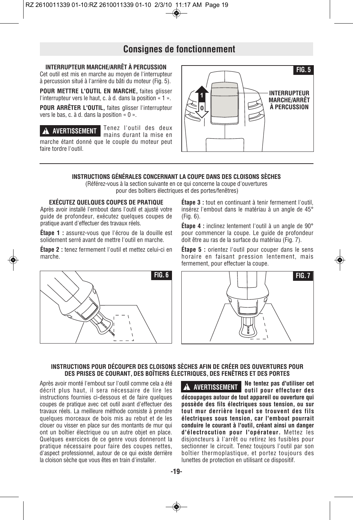# **Consignes de fonctionnement**

# **INTERRUPTEUR MARCHE/ARRÊT À PERCUSSION**

Cet outil est mis en marche au moyen de l'interrupteur à percussion situé à l'arrière du bâti du moteur (Fig. 5).

**POUR METTRE L'OUTIL EN MARCHE,** faites glisser l'interrupteur vers le haut, c. à d. dans la position « 1 ».

**POUR ARRÊTER L'OUTIL,** faites glisser l'interrupteur vers le bas, c. à d. dans la position « 0 ».

Tenez l'outil des deux mains durant la mise en marche étant donné que le couple du moteur peut faire tordre l'outil. **! AVERTISSEMENT**



# **INSTRUCTIONS GÉNÉRALES CONCERNANT LA COUPE DANS DES CLOISONS SÈCHES**

(Référez-vous à la section suivante en ce qui concerne la coupe d'ouvertures pour des boîtiers électriques et des portes/fenêtres)

# **EXÉCUTEZ QUELQUES COUPES DE PRATIQUE**

Après avoir installé l'embout dans l'outil et ajusté votre guide de profondeur, exécutez quelques coupes de pratique avant d'effectuer des travaux réels.

**Étape 1 :** assurez-vous que l'écrou de la douille est solidement serré avant de mettre l'outil en marche.

**Étape 2 :** tenez fermement l'outil et mettez celui-ci en marche.



**Étape 3 :** tout en continuant à tenir fermement l'outil, insérez l'embout dans le matériau à un angle de 45° (Fig. 6).

**Étape 4 :** inclinez lentement l'outil à un angle de 90° pour commencer la coupe. Le guide de profondeur doit être au ras de la surface du matériau (Fig. 7).

**Étape 5 :** orientez l'outil pour couper dans le sens horaire en faisant pression lentement, mais fermement, pour effectuer la coupe.



## **INSTRUCTIONS POUR DÉCOUPER DES CLOISONS SÈCHES AFIN DE CRÉER DES OUVERTURES POUR DES PRISES DE COURANT, DES BOÎTIERS ÉLECTRIQUES, DES FENÊTRES ET DES PORTES**

Après avoir monté l'embout sur l'outil comme cela a été décrit plus haut, il sera nécessaire de lire les instructions fournies ci-dessous et de faire quelques coupes de pratique avec cet outil avant d'effectuer des travaux réels. La meilleure méthode consiste à prendre quelques morceaux de bois mis au rebut et de les clouer ou visser en place sur des montants de mur qui ont un boîtier électrique ou un autre objet en place. Quelques exercices de ce genre vous donneront la pratique nécessaire pour faire des coupes nettes, d'aspect professionnel, autour de ce qui existe derrière la cloison sèche que vous êtes en train d'installer.

**Ne tentez pas d'utiliser cet outil pour effectuer des découpages autour de tout appareil ou ouverture qui possède des fils électriques sous tension, ou sur tout mur derrière lequel se trouvent des fils électriques sous tension, car l'embout pourrait conduire le courant à l'outil, créant ainsi un danger d'électrocution pour l'opérateur.** Mettez les disjoncteurs à l'arrêt ou retirez les fusibles pour sectionner le circuit. Tenez toujours l'outil par son boîtier thermoplastique, et portez toujours des lunettes de protection en utilisant ce dispositif. **! AVERTISSEMENT**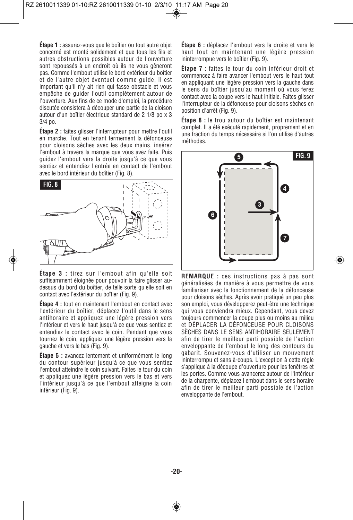**Étape 1 :** assurez-vous que le boîtier ou tout autre objet concerné est monté solidement et que tous les fils et autres obstructions possibles autour de l'ouverture sont repoussés à un endroit où ils ne vous gêneront pas. Comme l'embout utilise le bord extérieur du boîtier et de l'autre objet éventuel comme guide, il est important qu'il n'y ait rien qui fasse obstacle et vous empêche de guider l'outil complètement autour de l'ouverture. Aux fins de ce mode d'emploi, la procédure discutée consistera à découper une partie de la cloison autour d'un boîtier électrique standard de 2 1/8 po x 3 3/4 po.

**Étape 2 :** faites glisser l'interrupteur pour mettre l'outil en marche. Tout en tenant fermement la défonceuse pour cloisons sèches avec les deux mains, insérez l'embout à travers la marque que vous avez faite. Puis guidez l'embout vers la droite jusqu'à ce que vous sentiez et entendiez l'entrée en contact de l'embout avec le bord intérieur du boîtier (Fig. 8).



**Étape 3 :** tirez sur l'embout afin qu'elle soit suffisamment éloignée pour pouvoir la faire glisser audessus du bord du boîtier, de telle sorte qu'elle soit en contact avec l'extérieur du boîtier (Fig. 9).

**Étape 4 :** tout en maintenant l'embout en contact avec l'extérieur du boîtier, déplacez l'outil dans le sens antihoraire et appliquez une légère pression vers l'intérieur et vers le haut jusqu'à ce que vous sentiez et entendiez le contact avec le coin. Pendant que vous tournez le coin, appliquez une légère pression vers la gauche et vers le bas (Fig. 9).

**Étape 5 :** avancez lentement et uniformément le long du contour supérieur jusqu'à ce que vous sentiez l'embout atteindre le coin suivant. Faites le tour du coin et appliquez une légère pression vers le bas et vers l'intérieur jusqu'à ce que l'embout atteigne la coin inférieur (Fig. 9).

**Étape 6 :** déplacez l'embout vers la droite et vers le haut tout en maintenant une légère pression ininterrompue vers le boîtier (Fig. 9).

**Étape 7 :** faites le tour du coin inférieur droit et commencez à faire avancer l'embout vers le haut tout en appliquant une légère pression vers la gauche dans le sens du boîtier jusqu'au moment où vous ferez contact avec la coupe vers le haut initiale. Faites glisser l'interrupteur de la défonceuse pour cloisons sèches en position d'arrêt (Fig. 9).

**Étape 8 :** le trou autour du boîtier est maintenant complet. Il a été exécuté rapidement, proprement et en une fraction du temps nécessaire si l'on utilise d'autres méthodes.



**REMARQUE :** ces instructions pas à pas sont généralisées de manière à vous permettre de vous familiariser avec le fonctionnement de la défonceuse pour cloisons sèches. Après avoir pratiqué un peu plus son emploi, vous développerez peut-être une technique qui vous conviendra mieux. Cependant, vous devez toujours commencer la coupe plus ou moins au milieu et DÉPLACER LA DÉFONCEUSE POUR CLOISONS SÈCHES DANS LE SENS ANTIHORAIRE SEULEMENT afin de tirer le meilleur parti possible de l'action enveloppante de l'embout le long des contours du gabarit. Souvenez-vous d'utiliser un mouvement ininterrompu et sans à-coups. L'exception à cette règle s'applique à la découpe d'ouverture pour les fenêtres et les portes. Comme vous avancerez autour de l'intérieur de la charpente, déplacez l'embout dans le sens horaire afin de tirer le meilleur parti possible de l'action enveloppante de l'embout.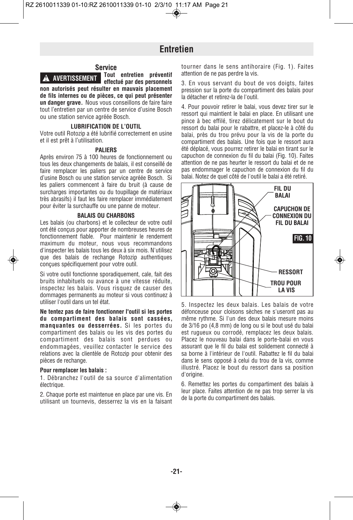**Tout entretien préventif**

# **Entretien**

## **Service**

**! AVERTISSEMENT**

**effectué par des personnels non autorisés peut résulter en mauvais placement de fils internes ou de pièces, ce qui peut présenter un danger grave.** Nous vous conseillons de faire faire tout l'entretien par un centre de service d'usine Bosch ou une station service agréée Bosch.

## **LUBRIFICATION DE L'OUTIL**

Votre outil Rotozip a été lubrifié correctement en usine et il est prêt à l'utilisation.

#### **PALIERS**

Après environ 75 à 100 heures de fonctionnement ou tous les deux changements de balais, il est conseillé de faire remplacer les paliers par un centre de service d'usine Bosch ou une station service agréée Bosch. Si les paliers commencent à faire du bruit (à cause de surcharges importantes ou du toupillage de matériaux très abrasifs) il faut les faire remplacer immédiatement pour éviter la surchauffe ou une panne de moteur.

## **BALAIS OU CHARBONS**

Les balais (ou charbons) et le collecteur de votre outil ont été conçus pour apporter de nombreuses heures de fonctionnement fiable. Pour maintenir le rendement maximum du moteur, nous vous recommandons d'inspecter les balais tous les deux à six mois. N'utilisez que des balais de rechange Rotozip authentiques conçues spécifiquement pour votre outil.

Si votre outil fonctionne sporadiquement, cale, fait des bruits inhabituels ou avance à une vitesse réduite, inspectez les balais. Vous risquez de causer des dommages permanents au moteur si vous continuez à utiliser l'outil dans un tel état.

**Ne tentez pas de faire fonctionner l'outil si les portes du compartiment des balais sont cassées, manquantes ou desserrées.** Si les portes du compartiment des balais ou les vis des portes du compartiment des balais sont perdues ou endommagées, veuillez contacter le service des relations avec la clientèle de Rotozip pour obtenir des pièces de rechange.

#### **Pour remplacer les balais :**

1. Débranchez l'outil de sa source d'alimentation électrique.

2. Chaque porte est maintenue en place par une vis. En utilisant un tournevis, desserrez la vis en la faisant tourner dans le sens antihoraire (Fig. 1). Faites attention de ne pas perdre la vis.

3. En vous servant du bout de vos doigts, faites pression sur la porte du compartiment des balais pour la détacher et retirez-la de l'outil.

4. Pour pouvoir retirer le balai, vous devez tirer sur le ressort qui maintient le balai en place. En utilisant une pince à bec effilé, tirez délicatement sur le bout du ressort du balai pour le rabattre, et placez-le à côté du balai, près du trou prévu pour la vis de la porte du compartiment des balais. Une fois que le ressort aura été déplacé, vous pourrez retirer le balai en tirant sur le capuchon de connexion du fil du balai (Fig. 10). Faites attention de ne pas heurter le ressort du balai et de ne pas endommager le capuchon de connexion du fil du balai. Notez de quel côté de l'outil le balai a été retiré.



5. Inspectez les deux balais. Les balais de votre défonceuse pour cloisons sèches ne s'useront pas au même rythme. Si l'un des deux balais mesure moins de 3/16 po (4,8 mm) de long ou si le bout usé du balai est rugueux ou corrodé, remplacez les deux balais. Placez le nouveau balai dans le porte-balai en vous assurant que le fil du balai est solidement connecté à sa borne à l'intérieur de l'outil. Rabattez le fil du balai dans le sens opposé à celui du trou de la vis, comme illustré. Placez le bout du ressort dans sa position d'origine.

6. Remettez les portes du compartiment des balais à leur place. Faites attention de ne pas trop serrer la vis de la porte du compartiment des balais.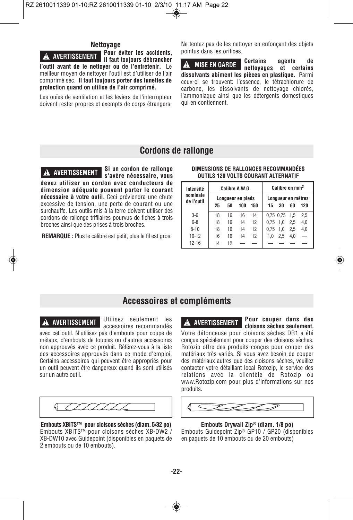# **Nettoyage**

**Pour éviter les accidents, il faut toujours débrancher l'outil avant de le nettoyer ou de l'entretenir.** Le meilleur moyen de nettoyer l'outil est d'utiliser de l'air comprimé sec. **Il faut toujours porter des lunettes de protection quand on utilise de l'air comprimé. ! AVERTISSEMENT**

Les ouïes de ventilation et les leviers de l'interrupteur doivent rester propres et exempts de corps étrangers. Ne tentez pas de les nettoyer en enfonçant des objets pointus dans les orifices.

**Certains agents de nettoyages et certains dissolvants abîment les pièces en plastique.** Parmi ceux-ci se trouvent: l'essence, le tétrachlorure de carbone, les dissolvants de nettoyage chlorés, l'ammoniaque ainsi que les détergents domestiques qui en contiennent. **! MISE EN GARDE**

# **Cordons de rallonge**

**Si un cordon de rallonge s'avère nécessaire, vous devez utiliser un cordon avec conducteurs de dimension adéquate pouvant porter le courant nécessaire à votre outil.** Ceci préviendra une chute excessive de tension, une perte de courant ou une surchauffe. Les outils mis à la terre doivent utiliser des cordons de rallonge trifilaires pourvus de fiches à trois broches ainsi que des prises à trois broches. **! AVERTISSEMENT**

**REMARQUE :** Plus le calibre est petit, plus le fil est gros.

## **DIMENSIONS DE RALLONGES RECOMMANDÉES OUTILS 120 VOLTS COURANT ALTERNATIF**

| Intensité              | Calibre A.W.G.    |    |     |     | Calibre en mm <sup>2</sup> |                     |     |     |
|------------------------|-------------------|----|-----|-----|----------------------------|---------------------|-----|-----|
| nominale<br>de l'outil | Lonqueur en pieds |    |     |     | Longueur en mètres         |                     |     |     |
|                        | 25                | 50 | 100 | 150 | 15                         | 30                  | 60  | 120 |
| $3-6$                  | 18                | 16 | 16  | 14  |                            | $0.75$ $0.75$ $1.5$ |     | 2,5 |
| $6 - 8$                | 18                | 16 | 14  | 12  | 0.75                       | 1.0                 | 2.5 | 4,0 |
| $8 - 10$               | 18                | 16 | 14  | 12  | 0.75                       | 1.0                 | 2.5 | 4,0 |
| $10 - 12$              | 16                | 16 | 14  | 12  | 1.0                        | 2.5                 | 4.0 |     |
| $12 - 16$              | 14                | 12 |     |     |                            |                     |     |     |

# **Accessoires et compléments**

Utilisez seulement les accessoires recommandés **! AVERTISSEMENT ! AVERTISSEMENT**

avec cet outil. N'utilisez pas d'embouts pour coupe de métaux, d'embouts de toupies ou d'autres accessoires non approuvés avec ce produit. Référez-vous à la liste des accessoires approuvés dans ce mode d'emploi. Certains accessoires qui peuvent être appropriés pour un outil peuvent être dangereux quand ils sont utilisés sur un autre outil.



**Embouts XBITS™ pour cloisons sèches (diam. 5/32 po)** Embouts XBITS™ pour cloisons sèches XB-DW2 / XB-DW10 avec Guidepoint (disponibles en paquets de 2 embouts ou de 10 embouts).

**Pour couper dans des cloisons sèches seulement.** Votre défonceuse pour cloisons sèches DR1 a été conçue spécialement pour couper des cloisons sèches. Rotozip offre des produits conçus pour couper des matériaux très variés. Si vous avez besoin de couper des matériaux autres que des cloisons sèches, veuillez contacter votre détaillant local Rotozip, le service des relations avec la clientèle de Rotozip ou www.Rotozip.com pour plus d'informations sur nos produits.



**Embouts Drywall Zip® (diam. 1/8 po)** Embouts Guidepoint Zip® GP10 / GP20 (disponibles en paquets de 10 embouts ou de 20 embouts)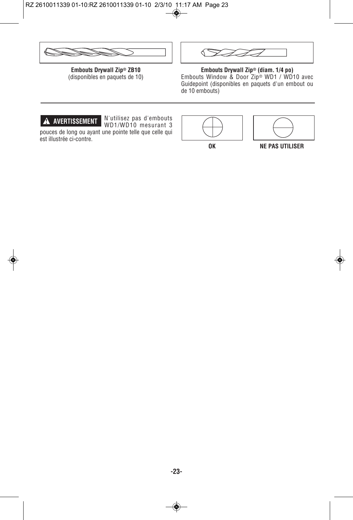**Embouts Drywall Zip® ZB10** (disponibles en paquets de 10)

**Embouts Drywall Zip® (diam. 1/4 po)** Embouts Window & Door Zip® WD1 / WD10 avec Guidepoint (disponibles en paquets d'un embout ou de 10 embouts)



est illustrée ci-contre.

N'utilisez pas d'embouts WD1/WD10 mesurant 3 pouces de long ou ayant une pointe telle que celle qui





**OK NE PAS UTILISER**

◈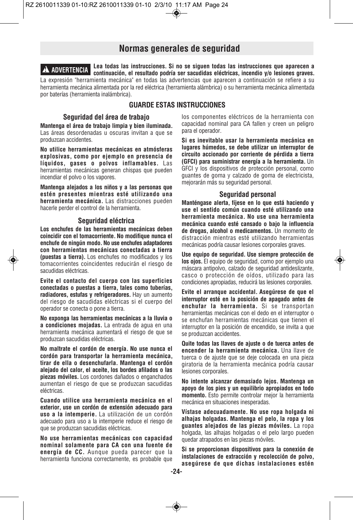# **Normas generales de seguridad**

**Lea todas las instrucciones. Si no se siguen todas las instrucciones que aparecen a ! ADVERTENCIA continuación, el resultado podría ser sacudidas eléctricas, incendio y/o lesiones graves.** La expresión "herramienta mecánica" en todas las advertencias que aparecen a continuación se refiere a su herramienta mecánica alimentada por la red eléctrica (herramienta alámbrica) o su herramienta mecánica alimentada por baterías (herramienta inalámbrica).

# **GUARDE ESTAS INSTRUCCIONES**

## **Seguridad del área de trabajo**

**Mantenga el área de trabajo limpia y bien iluminada.** Las áreas desordenadas u oscuras invitan a que se produzcan accidentes.

**No utilice herramientas mecánicas en atmósferas explosivas, como por ejemplo en presencia de líquidos, gases o polvos inflamables.** Las herramientas mecánicas generan chispas que pueden incendiar el polvo o los vapores.

**Mantenga alejados a los niños y a las personas que estén presentes mientras esté utilizando una herramienta mecánica.** Las distracciones pueden hacerle perder el control de la herramienta.

## **Seguridad eléctrica**

**Los enchufes de las herramientas mecánicas deben coincidir con el tomacorriente. No modifique nunca el enchufe de ningún modo. No use enchufes adaptadores con herramientas mecánicas conectadas a tierra (puestas a tierra).** Los enchufes no modificados y los tomacorrientes coincidentes reducirán el riesgo de sacudidas eléctricas.

**Evite el contacto del cuerpo con las superficies conectadas o puestas a tierra, tales como tuberías, radiadores, estufas y refrigeradores.** Hay un aumento del riesgo de sacudidas eléctricas si el cuerpo del operador se conecta o pone a tierra.

**No exponga las herramientas mecánicas a la lluvia o a condiciones mojadas.** La entrada de agua en una herramienta mecánica aumentará el riesgo de que se produzcan sacudidas eléctricas.

**No maltrate el cordón de energía. No use nunca el cordón para transportar la herramienta mecánica, tirar de ella o desenchufarla. Mantenga el cordón alejado del calor, el aceite, los bordes afilados o las piezas móviles.** Los cordones dañados o enganchados aumentan el riesgo de que se produzcan sacudidas eléctricas.

**Cuando utilice una herramienta mecánica en el exterior, use un cordón de extensión adecuado para uso a la intemperie.** La utilización de un cordón adecuado para uso a la intemperie reduce el riesgo de que se produzcan sacudidas eléctricas.

**No use herramientas mecánicas con capacidad nominal solamente para CA con una fuente de energía de CC.** Aunque pueda parecer que la herramienta funciona correctamente, es probable que

los componentes eléctricos de la herramienta con capacidad nominal para CA fallen y creen un peligro para el operador.

**Si es inevitable usar la herramienta mecánica en lugares húmedos, se debe utilizar un interruptor de circuito accionado por corriente de pérdida a tierra (GFCI) para suministrar energía a la herramienta.** Un GFCI y los dispositivos de protección personal, como guantes de goma y calzado de goma de electricista, mejorarán más su seguridad personal.

## **Seguridad personal**

**Manténgase alerta, fíjese en lo que está haciendo y use el sentido común cuando esté utilizando una herramienta mecánica. No use una herramienta mecánica cuando esté cansado o bajo la influencia de drogas, alcohol o medicamentos.** Un momento de distracción mientras esté utilizando herramientas mecánicas podría causar lesiones corporales graves.

**Use equipo de seguridad. Use siempre protección de los ojos.** El equipo de seguridad, como por ejemplo una máscara antipolvo, calzado de seguridad antideslizante, casco o protección de oídos, utilizado para las condiciones apropiadas, reducirá las lesiones corporales.

**Evite el arranque accidental. Asegúrese de que el interruptor esté en la posición de apagado antes de enchufar la herramienta.** Si se transportan herramientas mecánicas con el dedo en el interruptor o se enchufan herramientas mecánicas que tienen el interruptor en la posición de encendido, se invita a que se produzcan accidentes.

**Quite todas las llaves de ajuste o de tuerca antes de encender la herramienta mecánica.** Una llave de tuerca o de ajuste que se deje colocada en una pieza giratoria de la herramienta mecánica podría causar lesiones corporales.

**No intente alcanzar demasiado lejos. Mantenga un apoyo de los pies y un equilibrio apropiados en todo momento.** Esto permite controlar mejor la herramienta mecánica en situaciones inesperadas.

**Vístase adecuadamente. No use ropa holgada ni alhajas holgadas. Mantenga el pelo, la ropa y los guantes alejados de las piezas móviles.** La ropa holgada, las alhajas holgadas o el pelo largo pueden quedar atrapados en las piezas móviles.

**Si se proporcionan dispositivos para la conexión de instalaciones de extracción y recolección de polvo, asegúrese de que dichas instalaciones estén**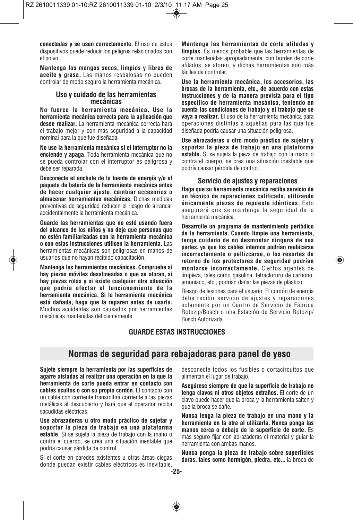**conectadas y se usen correctamente.** El uso de estos dispositivos puede reducir los peligros relacionados con el polvo.

**Mantenga los mangos secos, limpios y libres de aceite y grasa.** Las manos resbalosas no pueden controlar de modo seguro la herramienta mecánica.

# **Uso y cuidado de las herramientas mecánicas**

**No fuerce la herramienta mecánica. Use la herramienta mecánica correcta para la aplicación que desee realizar.** La herramienta mecánica correcta hará el trabajo mejor y con más seguridad a la capacidad nominal para la que fue diseñada.

**No use la herramienta mecánica si el interruptor no la enciende y apaga.** Toda herramienta mecánica que no se pueda controlar con el interruptor es peligrosa y debe ser reparada.

**Desconecte el enchufe de la fuente de energía y/o el paquete de batería de la herramienta mecánica antes de hacer cualquier ajuste, cambiar accesorios o almacenar herramientas mecánicas.** Dichas medidas preventivas de seguridad reducen el riesgo de arrancar accidentalmente la herramienta mecánica.

**Guarde las herramientas que no esté usando fuera del alcance de los niños y no deje que personas que no estén familiarizadas con la herramienta mecánica o con estas instrucciones utilicen la herramienta.** Las herramientas mecánicas son peligrosas en manos de usuarios que no hayan recibido capacitación.

**Mantenga las herramientas mecánicas. Compruebe si hay piezas móviles desalineadas o que se atoran, si hay piezas rotas y si existe cualquier otra situación que podría afectar el funcionamiento de la herramienta mecánica. Si la herramienta mecánica está dañada, haga que la reparen antes de usarla.** Muchos accidentes son causados por herramientas mecánicas mantenidas deficientemente.

**Mantenga las herramientas de corte afiladas y limpias.** Es menos probable que las herramientas de corte mantenidas apropiadamente, con bordes de corte afilados, se atoren, y dichas herramientas son más fáciles de controlar.

**Use la herramienta mecánica, los accesorios, las brocas de la herramienta, etc., de acuerdo con estas instrucciones y de la manera prevista para el tipo específico de herramienta mecánica, teniendo en cuenta las condiciones de trabajo y el trabajo que se vaya a realizar.** El uso de la herramienta mecánica para operaciones distintas a aquéllas para las que fue diseñada podría causar una situación peligrosa.

**Use abrazaderas u otro modo práctico de sujetar y soportar la pieza de trabajo en una plataforma estable.** Si se sujeta la pieza de trabajo con la mano o contra el cuerpo, se crea una situación inestable que podría causar pérdida de control.

## **Servicio de ajustes y reparaciones**

**Haga que su herramienta mecánica reciba servicio de un técnico de reparaciones calificado, utilizando únicamente piezas de repuesto idénticas.** Esto asegurará que se mantenga la seguridad de la herramienta mecánica.

**Desarrolle un programa de mantenimiento periódico de la herramienta. Cuando limpie una herramienta, tenga cuidado de no desmontar ninguna de sus partes, ya que los cables internos podrían reubicarse incorrectamente o pellizcarse, o los resortes de retorno de los protectores de seguridad podrían montarse incorrectamente.** Ciertos agentes de limpieza, tales como gasolina, tetracloruro de carbono, amoníaco, etc., podrían dañar las piezas de plástico.

Riesgo de lesiones para el usuario. El cordón de energía debe recibir servicio de ajustes y reparaciones solamente por un Centro de Servicio de Fábrica Rotozip/Bosch o una Estación de Servicio Rotozip/ Bosch Autorizada.

# **GUARDE ESTAS INSTRUCCIONES**

# **Normas de seguridad para rebajadoras para panel de yeso**

**Sujete siempre la herramienta por las superficies de agarre aisladas al realizar una operación en la que la herramienta de corte pueda entrar en contacto con cables ocultos o con su propio cordón.** El contacto con un cable con corriente transmitirá corriente a las piezas metálicas al descubierto y hará que el operador reciba sacudidas eléctricas.

**Use abrazaderas u otro modo práctico de sujetar y soportar la pieza de trabajo en una plataforma estable.** Si se sujeta la pieza de trabajo con la mano o contra el cuerpo, se crea una situación inestable que podría causar pérdida de control.

Si el corte en paredes existentes u otras áreas ciegas donde puedan existir cables eléctricos es inevitable,

desconecte todos los fusibles o cortacircuitos que alimentan el lugar de trabajo.

**Asegúrese siempre de que la superficie de trabajo no tenga clavos ni otros objetos extraños.** El corte de un clavo puede hacer que la broca y la herramienta salten y que la broca se dañe.

**Nunca tenga la pieza de trabajo en una mano y la herramienta en la otra al utilizarla. Nunca ponga las manos cerca o debajo de la superficie de corte.** Es más seguro fijar con abrazaderas el material y guiar la herramienta con ambas manos.

**Nunca ponga la pieza de trabajo sobre superficies duras, tales como hormigón, piedra, etc...** la broca de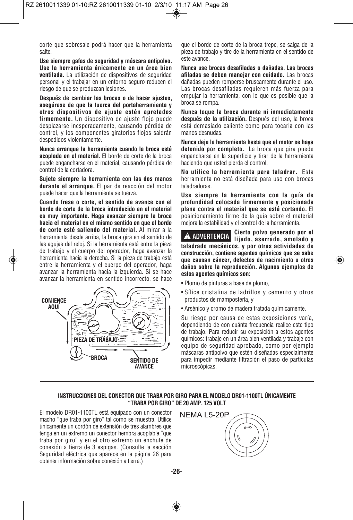corte que sobresale podrá hacer que la herramienta salte.

**Use siempre gafas de seguridad y máscara antipolvo. Use la herramienta únicamente en un área bien ventilada.** La utilización de dispositivos de seguridad personal y el trabajar en un entorno seguro reducen el riesgo de que se produzcan lesiones.

**Después de cambiar las brocas o de hacer ajustes, asegúrese de que la tuerca del portaherramienta y otros dispositivos de ajuste estén apretados firmemente.** Un dispositivo de ajuste flojo puede desplazarse inesperadamente, causando pérdida de control, y los componentes giratorios flojos saldrán despedidos violentamente.

**Nunca arranque la herramienta cuando la broca esté acoplada en el material.** El borde de corte de la broca puede engancharse en el material, causando pérdida de control de la cortadora.

**Sujete siempre la herramienta con las dos manos durante el arranque.** El par de reacción del motor puede hacer que la herramienta se tuerza.

**Cuando frese o corte, el sentido de avance con el borde de corte de la broca introducido en el material es muy importante. Haga avanzar siempre la broca hacia el material en el mismo sentido en que el borde de corte esté saliendo del material.** Al mirar a la herramienta desde arriba, la broca gira en el sentido de las agujas del reloj. Si la herramienta está entre la pieza de trabajo y el cuerpo del operador, haga avanzar la herramienta hacia la derecha. Si la pieza de trabajo está entre la herramienta y el cuerpo del operador, haga avanzar la herramienta hacia la izquierda. Si se hace avanzar la herramienta en sentido incorrecto, se hace



que el borde de corte de la broca trepe, se salga de la pieza de trabajo y tire de la herramienta en el sentido de este avance.

**Nunca use brocas desafiladas o dañadas. Las brocas afiladas se deben manejar con cuidado.** Las brocas dañadas pueden romperse bruscamente durante el uso. Las brocas desafiladas requieren más fuerza para empujar la herramienta, con lo que es posible que la broca se rompa.

**Nunca toque la broca durante ni inmediatamente después de la utilización.** Después del uso, la broca está demasiado caliente como para tocarla con las manos desnudas.

**Nunca deje la herramienta hasta que el motor se haya detenido por completo.** La broca que gira puede engancharse en la superficie y tirar de la herramienta haciendo que usted pierda el control.

**No utilice la herramienta para taladrar.** Esta herramienta no está diseñada para uso con brocas taladradoras.

**Use siempre la herramienta con la guía de profundidad colocada firmemente y posicionada plana contra el material que se está cortando.** El posicionamiento firme de la guía sobre el material mejora la estabilidad y el control de la herramienta.

**Cierto polvo generado por el lijado, aserrado, amolado y ! ADVERTENCIA taladrado mecánicos, y por otras actividades de construcción, contiene agentes químicos que se sabe que causan cáncer, defectos de nacimiento u otros daños sobre la reproducción. Algunos ejemplos de estos agentes químicos son:**

- Plomo de pinturas a base de plomo,
- Sílice cristalina de ladrillos y cemento y otros productos de mampostería, y
- Arsénico y cromo de madera tratada químicamente.

Su riesgo por causa de estas exposiciones varía, dependiendo de con cuánta frecuencia realice este tipo de trabajo. Para reducir su exposición a estos agentes químicos: trabaje en un área bien ventilada y trabaje con equipo de seguridad aprobado, como por ejemplo máscaras antipolvo que estén diseñadas especialmente para impedir mediante filtración el paso de partículas microscópicas.

# **INSTRUCCIONES DEL CONECTOR QUE TRABA POR GIRO PARA EL MODELO DR01-1100TL ÚNICAMENTE "TRABA POR GIRO" DE 20 AMP, 125 VOLT**

El modelo DR01-1100TL está equipado con un conector macho "que traba por giro" tal como se muestra. Utilice únicamente un cordón de extensión de tres alambres que tenga en un extremo un conector hembra acoplable "que traba por giro" y en el otro extremo un enchufe de conexión a tierra de 3 espigas. (Consulte la sección Seguridad eléctrica que aparece en la página 26 para obtener información sobre conexión a tierra.)

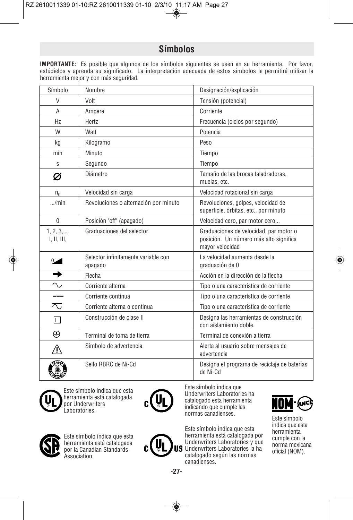# **Símbolos**

**IMPORTANTE:** Es posible que algunos de los símbolos siguientes se usen en su herramienta. Por favor, estúdielos y aprenda su significado. La interpretación adecuada de estos símbolos le permitirá utilizar la herramienta mejor y con más seguridad.

| Símbolo                  | Nombre                                         | Designación/explicación                                                                             |
|--------------------------|------------------------------------------------|-----------------------------------------------------------------------------------------------------|
| V                        | Volt                                           | Tensión (potencial)                                                                                 |
| $\overline{A}$           | Ampere                                         | Corriente                                                                                           |
| H <sub>7</sub>           | Hertz                                          | Frecuencia (ciclos por segundo)                                                                     |
| W                        | Watt                                           | Potencia                                                                                            |
| kg                       | Kilogramo                                      | Peso                                                                                                |
| min                      | Minuto                                         | Tiempo                                                                                              |
| S                        | Segundo                                        | Tiempo                                                                                              |
| Ø                        | Diámetro                                       | Tamaño de las brocas taladradoras.<br>muelas, etc.                                                  |
| $n_{0}$                  | Velocidad sin carga                            | Velocidad rotacional sin carga                                                                      |
| /min                     | Revoluciones o alternación por minuto          | Revoluciones, golpes, velocidad de<br>superficie, órbitas, etc., por minuto                         |
| 0                        | Posición "off" (apagado)                       | Velocidad cero, par motor cero                                                                      |
| 1, 2, 3,<br>I, II, III,  | Graduaciones del selector                      | Graduaciones de velocidad, par motor o<br>posición. Un número más alto significa<br>mayor velocidad |
| $\sim$                   | Selector infinitamente variable con<br>apagado | La velocidad aumenta desde la<br>graduación de 0                                                    |
| →                        | Flecha                                         | Acción en la dirección de la flecha                                                                 |
| $\sim$                   | Corriente alterna                              | Tipo o una característica de corriente                                                              |
| $=$                      | Corriente continua                             | Tipo o una característica de corriente                                                              |
| $\overline{\mathcal{N}}$ | Corriente alterna o continua                   | Tipo o una característica de corriente                                                              |
| 回                        | Construcción de clase II                       | Designa las herramientas de construcción<br>con aislamiento doble.                                  |
| ⊕                        | Terminal de toma de tierra                     | Terminal de conexión a tierra                                                                       |
| <u> ^</u>                | Símbolo de advertencia                         | Alerta al usuario sobre mensajes de<br>advertencia                                                  |
|                          | Sello RBRC de Ni-Cd                            | Designa el programa de reciclaje de baterías<br>de Ni-Cd                                            |



Este símbolo indica que esta herramienta está catalogada por Underwriters Laboratories.



Este símbolo indica que Underwriters Laboratories ha catalogado esta herramienta indicando que cumple las normas canadienses.

Este símbolo indica que esta herramienta está catalogada por Underwriters Laboratories y que Underwriters Laboratories la ha catalogado según las normas canadienses.



Este símbolo indica que esta herramienta cumple con la norma mexicana oficial (NOM).



Este símbolo indica que esta herramienta está catalogada por la Canadian Standards Association.

**-27-**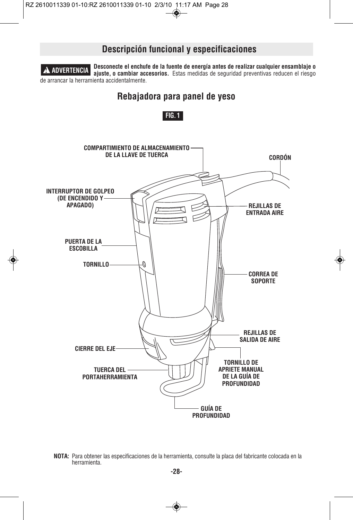

**NOTA:** Para obtener las especificaciones de la herramienta, consulte la placa del fabricante colocada en la herramienta.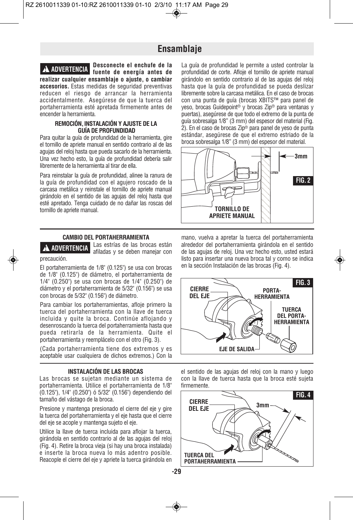# **Ensamblaje**



**Desconecte el enchufe de la fuente de energía antes de ! ADVERTENCIA realizar cualquier ensamblaje o ajuste, o cambiar accesorios.** Estas medidas de seguridad preventivas reducen el riesgo de arrancar la herramienta accidentalmente. Asegúrese de que la tuerca del portaherramienta esté apretada firmemente antes de encender la herramienta.

## **REMOCIÓN, INSTALACIÓN Y AJUSTE DE LA GUÍA DE PROFUNDIDAD**

Para quitar la guía de profundidad de la herramienta, gire el tornillo de apriete manual en sentido contrario al de las agujas del reloj hasta que pueda sacarlo de la herramienta. Una vez hecho esto, la guía de profundidad debería salir libremente de la herramienta al tirar de ella.

Para reinstalar la guía de profundidad, alinee la ranura de la guía de profundidad con el agujero roscado de la carcasa metálica y reinstale el tornillo de apriete manual girándolo en el sentido de las agujas del reloj hasta que esté apretado. Tenga cuidado de no dañar las roscas del tornillo de apriete manual.

#### **CAMBIO DEL PORTAHERRAMIENTA**

**! ADVERTENCIA**

precaución.

Las estrías de las brocas están afiladas y se deben manejar con

El portaherramienta de 1/8" (0.125") se usa con brocas de 1/8" (0.125") de diámetro, el portaherramienta de 1/4" (0.250") se usa con brocas de 1/4" (0.250") de diámetro y el portaherramienta de 5/32" (0.156") se usa con brocas de 5/32" (0.156") de diámetro.

Para cambiar los portaherramientas, afloje primero la tuerca del portaherramienta con la llave de tuerca incluida y quite la broca. Continúe aflojando y desenroscando la tuerca del portaherramienta hasta que pueda retirarla de la herramienta. Quite el portaherramienta y reemplácelo con el otro (Fig. 3).

(Cada portaherramienta tiene dos extremos y es aceptable usar cualquiera de dichos extremos.) Con la

## **INSTALACIÓN DE LAS BROCAS**

Las brocas se sujetan mediante un sistema de portaherramienta. Utilice el portaherramienta de 1/8" (0.125"), 1/4" (0.250") ó 5/32" (0.156") dependiendo del tamaño del vástago de la broca.

Presione y mantenga presionado el cierre del eje y gire la tuerca del portaherramienta y el eje hasta que el cierre del eje se acople y mantenga sujeto el eje.

Utilice la llave de tuerca incluida para aflojar la tuerca, girándola en sentido contrario al de las agujas del reloj (Fig. 4). Retire la broca vieja (si hay una broca instalada) e inserte la broca nueva lo más adentro posible. Reacople el cierre del eje y apriete la tuerca girándola en

La guía de profundidad le permite a usted controlar la profundidad de corte. Afloje el tornillo de apriete manual girándolo en sentido contrario al de las agujas del reloj hasta que la guía de profundidad se pueda deslizar libremente sobre la carcasa metálica. En el caso de brocas con una punta de guía (brocas XBITS™ para panel de yeso, brocas Guidepoint® y brocas Zip® para ventanas y puertas), asegúrese de que todo el extremo de la punta de guía sobresalga 1/8" (3 mm) del espesor del material (Fig. 2). En el caso de brocas Zip® para panel de yeso de punta estándar, asegúrese de que el extremo estriado de la broca sobresalga 1/8" (3 mm) del espesor del material.



mano, vuelva a apretar la tuerca del portaherramienta alrededor del portaherramienta girándola en el sentido de las agujas de reloj. Una vez hecho esto, usted estará listo para insertar una nueva broca tal y como se indica en la sección Instalación de las brocas (Fig. 4).



el sentido de las agujas del reloj con la mano y luego con la llave de tuerca hasta que la broca esté sujeta firmemente.

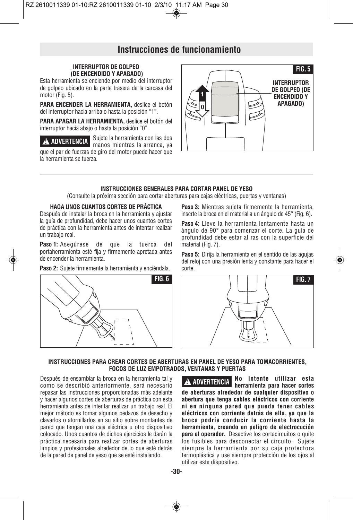# **Instrucciones de funcionamiento**

# **INTERRUPTOR DE GOLPEO (DE ENCENDIDO Y APAGADO)**

Esta herramienta se enciende por medio del interruptor de golpeo ubicado en la parte trasera de la carcasa del motor (Fig. 5).

PARA ENCENDER LA HERRAMIENTA, deslice el botón del interruptor hacia arriba o hasta la posición "1".

**PARA APAGAR LA HERRAMIENTA,** deslice el botón del interruptor hacia abajo o hasta la posición "0".

**A ADVERTENCIA** Sujete la herramienta con las dos manos mientras la arranca, ya que el par de fuerzas de giro del motor puede hacer que la herramienta se tuerza.



#### **INSTRUCCIONES GENERALES PARA CORTAR PANEL DE YESO**

(Consulte la próxima sección para cortar aberturas para cajas eléctricas, puertas y ventanas)

## **HAGA UNOS CUANTOS CORTES DE PRÁCTICA**

Después de instalar la broca en la herramienta y ajustar la guía de profundidad, debe hacer unos cuantos cortes de práctica con la herramienta antes de intentar realizar un trabajo real.

**Paso 1:** Asegúrese de que la tuerca del portaherramienta esté fija y firmemente apretada antes de encender la herramienta.

**Paso 2:** Sujete firmemente la herramienta y enciéndala.



**Paso 3:** Mientras sujeta firmemente la herramienta, inserte la broca en el material a un ángulo de 45° (Fig. 6).

**Paso 4:** Lleve la herramienta lentamente hasta un ángulo de 90° para comenzar el corte. La guía de profundidad debe estar al ras con la superficie del material (Fig. 7).

**Paso 5:** Dirija la herramienta en el sentido de las agujas del reloj con una presión lenta y constante para hacer el corte.



## **INSTRUCCIONES PARA CREAR CORTES DE ABERTURAS EN PANEL DE YESO PARA TOMACORRIENTES, FOCOS DE LUZ EMPOTRADOS, VENTANAS Y PUERTAS**

Después de ensamblar la broca en la herramienta tal y como se describió anteriormente, será necesario repasar las instrucciones proporcionadas más adelante y hacer algunos cortes de aberturas de práctica con esta herramienta antes de intentar realizar un trabajo real. El mejor método es tomar algunos pedazos de desecho y clavarlos o atornillarlos en su sitio sobre montantes de pared que tengan una caja eléctrica u otro dispositivo colocado. Unos cuantos de dichos ejercicios le darán la práctica necesaria para realizar cortes de aberturas limpios y profesionales alrededor de lo que esté detrás de la pared de panel de yeso que se esté instalando.

**No intente utilizar esta A** ADVERTENCIA **NUMBER 1989 herramienta para hacer cortes de aberturas alrededor de cualquier dispositivo o abertura que tenga cables eléctricos con corriente ni en ninguna pared que pueda tener cables eléctricos con corriente detrás de ella, ya que la broca podría conducir la corriente hasta la herramienta, creando un peligro de electrocución para el operador.** Desactive los cortacircuitos o quite los fusibles para desconectar el circuito. Sujete siempre la herramienta por su caja protectora termoplástica y use siempre protección de los ojos al utilizar este dispositivo.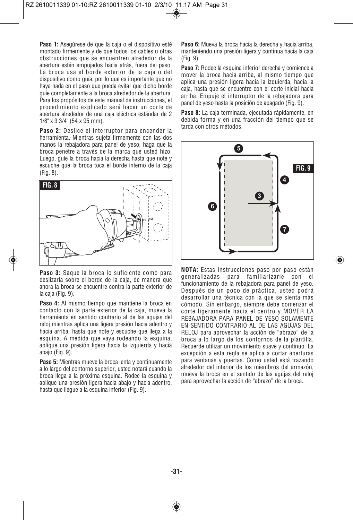**Paso 1:** Asegúrese de que la caja o el dispositivo esté montado firmemente y de que todos los cables u otras obstrucciones que se encuentren alrededor de la abertura estén empujados hacia atrás, fuera del paso. La broca usa el borde exterior de la caja o del dispositivo como guía, por lo que es importante que no haya nada en el paso que pueda evitar que dicho borde guíe completamente a la broca alrededor de la abertura. Para los propósitos de este manual de instrucciones, el procedimiento explicado será hacer un corte de abertura alrededor de una caja eléctrica estándar de 2 1/8" x 3 3/4" (54 x 95 mm).

Paso 2: Deslice el interruptor para encender la herramienta. Mientras sujeta firmemente con las dos manos la rebajadora para panel de yeso, haga que la broca penetre a través de la marca que usted hizo. Luego, guíe la broca hacia la derecha hasta que note y escuche que la broca toca el borde interno de la caja (Fig. 8).



**Paso 3:** Saque la broca lo suficiente como para deslizarla sobre el borde de la caja, de manera que ahora la broca se encuentre contra la parte exterior de la caja (Fig. 9).

**Paso 4:** Al mismo tiempo que mantiene la broca en contacto con la parte exterior de la caja, mueva la herramienta en sentido contrario al de las agujas del reloj mientras aplica una ligera presión hacia adentro y hacia arriba, hasta que note y escuche que llega a la esquina. A medida que vaya rodeando la esquina, aplique una presión ligera hacia la izquierda y hacia abajo (Fig. 9).

Paso 5: Mientras mueve la broca lenta y continuamente a lo largo del contorno superior, usted notará cuando la broca llega a la próxima esquina. Rodee la esquina y aplique una presión ligera hacia abajo y hacia adentro, hasta que llegue a la esquina inferior (Fig. 9).

**Paso 6:** Mueva la broca hacia la derecha y hacia arriba, manteniendo una presión ligera y continua hacia la caja (Fig. 9).

Paso 7: Rodee la esquina inferior derecha y comience a mover la broca hacia arriba, al mismo tiempo que aplica una presión ligera hacia la izquierda, hacia la caja, hasta que se encuentre con el corte inicial hacia arriba. Empuje el interruptor de la rebajadora para panel de yeso hasta la posición de apagado (Fig. 9).

**Paso 8:** La caja terminada, ejecutada rápidamente, en debida forma y en una fracción del tiempo que se tarda con otros métodos.



**NOTA:** Estas instrucciones paso por paso están generalizadas para familiarizarle con el funcionamiento de la rebajadora para panel de yeso. Después de un poco de práctica, usted podrá desarrollar una técnica con la que se sienta más cómodo. Sin embargo, siempre debe comenzar el corte ligeramente hacia el centro y MOVER LA REBAJADORA PARA PANEL DE YESO SOLAMENTE EN SENTIDO CONTRARIO AL DE LAS AGUJAS DEL RELOJ para aprovechar la acción de "abrazo" de la broca a lo largo de los contornos de la plantilla. Recuerde utilizar un movimiento suave y continuo. La excepción a esta regla se aplica a cortar aberturas para ventanas y puertas. Como usted está trazando alrededor del interior de los miembros del armazón, mueva la broca en el sentido de las agujas del reloj para aprovechar la acción de "abrazo" de la broca.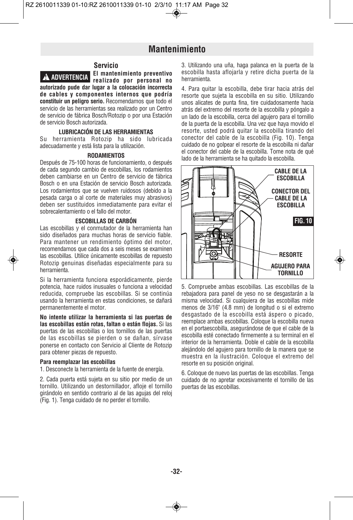# **Mantenimiento**



**El mantenimiento preventivo rea lizado por personal no autorizado pude dar lugar a la colocación in correcta de cables y com ponentes internos que podría constituir un peligro serio.** Recomendamos que todo el servicio de las herramientas sea realizado por un Centro de servicio de fábrica Bosch/Rotozip o por una Estación de servicio Bosch autorizada. **! ADVERTENCIA**

#### **LUBRICACIÓN DE LAS HERRAMIENTAS**

Su herramienta Rotozip ha sido lubricada adecuadamente y está lista para la utilización.

#### **RODAMIENTOS**

Después de 75-100 horas de funcionamiento, o después de cada segundo cambio de escobillas, los rodamientos deben cambiarse en un Centro de servicio de fábrica Bosch o en una Estación de servicio Bosch autorizada. Los rodamientos que se vuelven ruidosos (debido a la pesada carga o al corte de materiales muy abrasivos) deben ser sustituidos inmediatamente para evitar el sobrecalentamiento o el fallo del motor.

#### **ESCOBILLAS DE CARBÓN**

Las escobillas y el conmutador de la herramienta han sido diseñados para muchas horas de servicio fiable. Para mantener un rendimiento óptimo del motor, recomendamos que cada dos a seis meses se examinen las escobillas. Utilice únicamente escobillas de repuesto Rotozip genuinas diseñadas especialmente para su herramienta.

Si la herramienta funciona esporádicamente, pierde potencia, hace ruidos inusuales o funciona a velocidad reducida, compruebe las escobillas. Si se continúa usando la herramienta en estas condiciones, se dañará permanentemente el motor.

**No intente utilizar la herramienta si las puertas de las escobillas están rotas, faltan o están flojas.** Si las puertas de las escobillas o los tornillos de las puertas de las escobillas se pierden o se dañan, sírvase ponerse en contacto con Servicio al Cliente de Rotozip para obtener piezas de repuesto.

## **Para reemplazar las escobillas**

1. Desconecte la herramienta de la fuente de energía.

2. Cada puerta está sujeta en su sitio por medio de un tornillo. Utilizando un destornillador, afloje el tornillo girándolo en sentido contrario al de las agujas del reloj (Fig. 1). Tenga cuidado de no perder el tornillo.

3. Utilizando una uña, haga palanca en la puerta de la escobilla hasta aflojarla y retire dicha puerta de la herramienta.

4. Para quitar la escobilla, debe tirar hacia atrás del resorte que sujeta la escobilla en su sitio. Utilizando unos alicates de punta fina, tire cuidadosamente hacia atrás del extremo del resorte de la escobilla y póngalo a un lado de la escobilla, cerca del agujero para el tornillo de la puerta de la escobilla. Una vez que haya movido el resorte, usted podrá quitar la escobilla tirando del conector del cable de la escobilla (Fig. 10). Tenga cuidado de no golpear el resorte de la escobilla ni dañar el conector del cable de la escobilla. Tome nota de qué lado de la herramienta se ha quitado la escobilla.



5. Compruebe ambas escobillas. Las escobillas de la rebajadora para panel de yeso no se desgastarán a la misma velocidad. Si cualquiera de las escobillas mide menos de 3/16" (4.8 mm) de longitud o si el extremo desgastado de la escobilla está áspero o picado, reemplace ambas escobillas. Coloque la escobilla nueva en el portaescobilla, asegurándose de que el cable de la escobilla esté conectado firmemente a su terminal en el interior de la herramienta. Doble el cable de la escobilla alejándolo del agujero para tornillo de la manera que se muestra en la ilustración. Coloque el extremo del resorte en su posición original.

6. Coloque de nuevo las puertas de las escobillas. Tenga cuidado de no apretar excesivamente el tornillo de las puertas de las escobillas.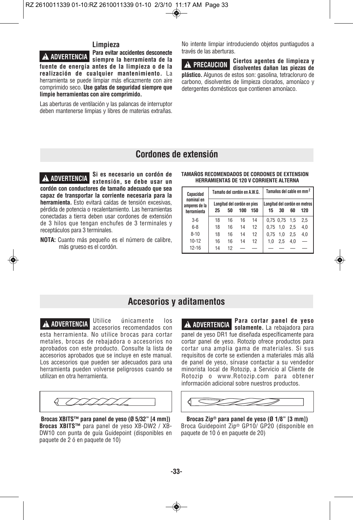# **Limpieza**

**Para evitar accidentes desconecte** siempre la herramienta de la **fuente de energía antes de la limpieza o de la** realización de cualquier mantenimiento. La herramienta se puede limpiar más eficazmente con aire comprimido seco. **Use gafas de segu ridad siempre que limpie herramientas con aire comprimido. ! ADVERTENCIA**

Las aberturas de ventilación y las palancas de interruptor deben mantenerse limpias y libres de materias extrañas.

No intente limpiar introduciendo objetos puntiagudos a través de las aberturas.

**Ciertos agentes de limpieza y de PRECAUCION** disolventes dañan las piezas de **plástico.** Algunos de estos son: gasolina, tetracloruro de carbono, disolventes de limpieza clorados, amoníaco y detergentes domésticos que contienen amoníaco.

# **Cordones de extensión**

**Si es necesario un cordón de extensión, se debe usar un cordón con conductores de tamaño adecuado que sea capaz de transportar la corriente necesaria para la herramienta.** Esto evitará caídas de tensión excesivas, pérdida de potencia o recalentamiento. Las herramientas conectadas a tierra deben usar cordones de extensión de 3 hilos que tengan enchufes de 3 terminales y receptáculos para 3 terminales. **TAMAÑOS RECOMENDADOS DE CORDONES DE EXTENSION ! ADVERTENCIA HERRAMIENTAS DE 120 V CORRIENTE ALTERNA**

**NOTA:** Cuanto más pequeño es el número de calibre, más grueso es el cordón.

| MINING REVOLUTIONS OF CONSUMING BE EVILUIGHT<br><b>HERRAMIENTAS DE 120 V CORRIENTE ALTERNA</b> |  |
|------------------------------------------------------------------------------------------------|--|
|                                                                                                |  |

| Capacidad                                  | Tamaño del cordón en A.W.G. |    |                                    |     | Tamaños del cable en mm <sup>2</sup> |           |     |                                      |
|--------------------------------------------|-----------------------------|----|------------------------------------|-----|--------------------------------------|-----------|-----|--------------------------------------|
| nominal en<br>amperes de la<br>herramienta | 25                          | 50 | Longitud del cordón en pies<br>100 | 150 | 15                                   | 30        | 60  | Lonaitud del cordón en metros<br>120 |
| $3-6$                                      | 18                          | 16 | 16                                 | 14  |                                      | 0,75 0,75 | 1.5 | 2.5                                  |
| $6 - 8$                                    | 18                          | 16 | 14                                 | 12  | 0.75                                 | 1.0       | 2.5 | 4,0                                  |
| $8 - 10$                                   | 18                          | 16 | 14                                 | 12  | 0.75                                 | 1.0       | 2.5 | 4,0                                  |
| $10 - 12$                                  | 16                          | 16 | 14                                 | 12  | 1.0                                  | 2.5       | 4.0 |                                      |
| $12 - 16$                                  | 14                          | 12 |                                    |     |                                      |           |     |                                      |

# **Accesorios y aditamentos**

Utilice únicamente los accesorios recomendados con **! ADVERTENCIA ! ADVERTENCIA** esta herramienta. No utilice brocas para cortar

metales, brocas de rebajadora o accesorios no aprobados con este producto. Consulte la lista de accesorios aprobados que se incluye en este manual. Los accesorios que pueden ser adecuados para una herramienta pueden volverse peligrosos cuando se utilizan en otra herramienta.



**Brocas XBITS™ para panel de yeso (Ø 5/32" [4 mm]) Brocas XBITS™** para panel de yeso XB-DW2 / XB-DW10 con punta de guía Guidepoint (disponibles en paquete de 2 ó en paquete de 10)

**Para cortar panel de yeso** A ADVERTENCIA solamente. La rebajadora para panel de yeso DR1 fue diseñada específicamente para cortar panel de yeso. Rotozip ofrece productos para cortar una amplia gama de materiales. Si sus requisitos de corte se extienden a materiales más allá de panel de yeso, sírvase contactar a su vendedor minorista local de Rotozip, a Servicio al Cliente de Rotozip o www.Rotozip.com para obtener información adicional sobre nuestros productos.



**Brocas Zip® para panel de yeso (Ø 1/8" [3 mm])** Broca Guidepoint Zip® GP10/ GP20 (disponible en paquete de 10 ó en paquete de 20)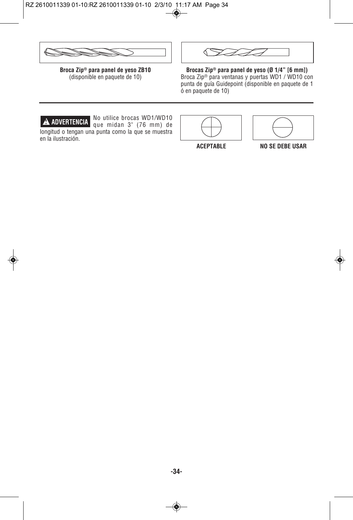

**Broca Zip® para panel de yeso ZB10** (disponible en paquete de 10)



**Brocas Zip® para panel de yeso (Ø 1/4" [6 mm])**  Broca Zip® para ventanas y puertas WD1 / WD10 con punta de guía Guidepoint (disponible en paquete de 1 ó en paquete de 10)



No utilice brocas WD1/WD10 **A ADVERTENCIA que midan 3**" (76 mm) de longitud o tengan una punta como la que se muestra en la ilustración.



**ACEPTABLE NO SE DEBE USAR**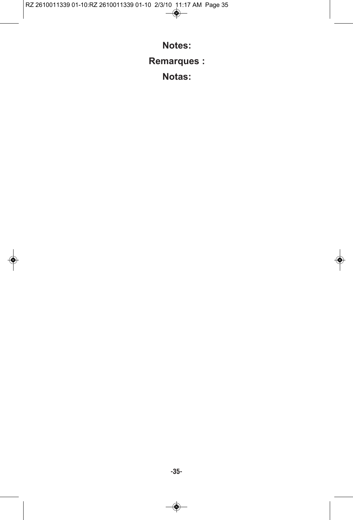RZ 2610011339 01-10:RZ 2610011339 01-10 2/3/10 11:17 AM Page 35

**Notes:**

**Remarques :**

**Notas:**

◈